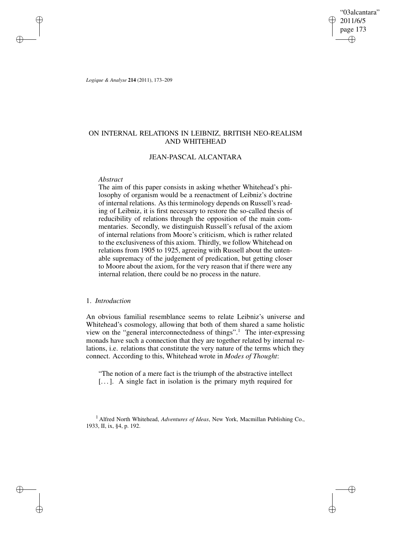"03alcantara" 2011/6/5 page 173 ✐ ✐

✐

✐

*Logique & Analyse* **214** (2011), 173–209

✐

✐

✐

✐

## ON INTERNAL RELATIONS IN LEIBNIZ, BRITISH NEO-REALISM AND WHITEHEAD

### JEAN-PASCAL ALCANTARA

### *Abstract*

The aim of this paper consists in asking whether Whitehead's philosophy of organism would be a reenactment of Leibniz's doctrine of internal relations. As this terminology depends on Russell's reading of Leibniz, it is first necessary to restore the so-called thesis of reducibility of relations through the opposition of the main commentaries. Secondly, we distinguish Russell's refusal of the axiom of internal relations from Moore's criticism, which is rather related to the exclusiveness of this axiom. Thirdly, we follow Whitehead on relations from 1905 to 1925, agreeing with Russell about the untenable supremacy of the judgement of predication, but getting closer to Moore about the axiom, for the very reason that if there were any internal relation, there could be no process in the nature.

### 1. *Introduction*

An obvious familial resemblance seems to relate Leibniz's universe and Whitehead's cosmology, allowing that both of them shared a same holistic view on the "general interconnectedness of things".<sup>1</sup> The inter-expressing monads have such a connection that they are together related by internal relations, i.e. relations that constitute the very nature of the terms which they connect. According to this, Whitehead wrote in *Modes of Thought*:

"The notion of a mere fact is the triumph of the abstractive intellect [. . .]. A single fact in isolation is the primary myth required for

<sup>1</sup> Alfred North Whitehead, *Adventures of Ideas*, New York, Macmillan Publishing Co., 1933, II, ix, §4, p. 192.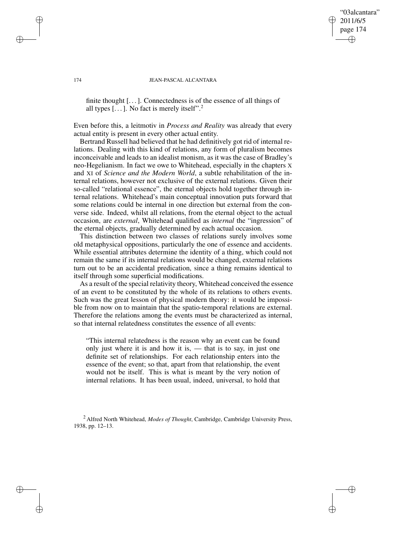# 174 JEAN-PASCAL ALCANTARA

"03alcantara" 2011/6/5 page 174

✐

✐

✐

✐

finite thought [. . .]. Connectedness is of the essence of all things of all types  $[\dots]$ . No fact is merely itself".<sup>2</sup>

Even before this, a leitmotiv in *Process and Reality* was already that every actual entity is present in every other actual entity.

Bertrand Russell had believed that he had definitively got rid of internal relations. Dealing with this kind of relations, any form of pluralism becomes inconceivable and leads to an idealist monism, as it was the case of Bradley's neo-Hegelianism. In fact we owe to Whitehead, especially in the chapters X and XI of *Science and the Modern World*, a subtle rehabilitation of the internal relations, however not exclusive of the external relations. Given their so-called "relational essence", the eternal objects hold together through internal relations. Whitehead's main conceptual innovation puts forward that some relations could be internal in one direction but external from the converse side. Indeed, whilst all relations, from the eternal object to the actual occasion, are *external*, Whitehead qualified as *internal* the "ingression" of the eternal objects, gradually determined by each actual occasion.

This distinction between two classes of relations surely involves some old metaphysical oppositions, particularly the one of essence and accidents. While essential attributes determine the identity of a thing, which could not remain the same if its internal relations would be changed, external relations turn out to be an accidental predication, since a thing remains identical to itself through some superficial modifications.

As a result of the special relativity theory, Whitehead conceived the essence of an event to be constituted by the whole of its relations to others events. Such was the great lesson of physical modern theory: it would be impossible from now on to maintain that the spatio-temporal relations are external. Therefore the relations among the events must be characterized as internal, so that internal relatedness constitutes the essence of all events:

"This internal relatedness is the reason why an event can be found only just where it is and how it is, — that is to say, in just one definite set of relationships. For each relationship enters into the essence of the event; so that, apart from that relationship, the event would not be itself. This is what is meant by the very notion of internal relations. It has been usual, indeed, universal, to hold that

<sup>2</sup> Alfred North Whitehead, *Modes of Thought*, Cambridge, Cambridge University Press, 1938, pp. 12–13.

✐

✐

✐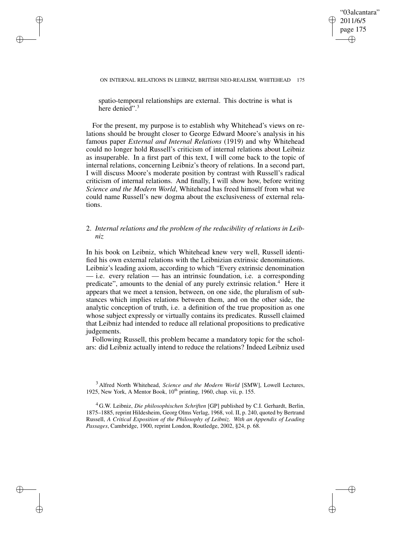"03alcantara" 2011/6/5 page 175 ✐ ✐

✐

✐

#### ON INTERNAL RELATIONS IN LEIBNIZ, BRITISH NEO-REALISM, WHITEHEAD 175

spatio-temporal relationships are external. This doctrine is what is here denied".<sup>3</sup>

✐

✐

✐

✐

For the present, my purpose is to establish why Whitehead's views on relations should be brought closer to George Edward Moore's analysis in his famous paper *External and Internal Relations* (1919) and why Whitehead could no longer hold Russell's criticism of internal relations about Leibniz as insuperable. In a first part of this text, I will come back to the topic of internal relations, concerning Leibniz's theory of relations. In a second part, I will discuss Moore's moderate position by contrast with Russell's radical criticism of internal relations. And finally, I will show how, before writing *Science and the Modern World*, Whitehead has freed himself from what we could name Russell's new dogma about the exclusiveness of external relations.

## 2. *Internal relations and the problem of the reducibility of relations in Leibniz*

In his book on Leibniz, which Whitehead knew very well, Russell identified his own external relations with the Leibnizian extrinsic denominations. Leibniz's leading axiom, according to which "Every extrinsic denomination — i.e. every relation — has an intrinsic foundation, i.e. a corresponding predicate", amounts to the denial of any purely extrinsic relation.<sup>4</sup> Here it appears that we meet a tension, between, on one side, the pluralism of substances which implies relations between them, and on the other side, the analytic conception of truth, i.e. a definition of the true proposition as one whose subject expressly or virtually contains its predicates. Russell claimed that Leibniz had intended to reduce all relational propositions to predicative judgements.

Following Russell, this problem became a mandatory topic for the scholars: did Leibniz actually intend to reduce the relations? Indeed Leibniz used

<sup>3</sup> Alfred North Whitehead, *Science and the Modern World* [SMW], Lowell Lectures, 1925, New York, A Mentor Book,  $10^{th}$  printing, 1960, chap. vii, p. 155.

<sup>4</sup> G.W. Leibniz, *Die philosophischen Schriften* [GP] published by C.I. Gerhardt, Berlin, 1875–1885, reprint Hildesheim, Georg Olms Verlag, 1968, vol. II, p. 240, quoted by Bertrand Russell, *A Critical Exposition of the Philosophy of Leibniz. With an Appendix of Leading Passages*, Cambridge, 1900, reprint London, Routledge, 2002, §24, p. 68.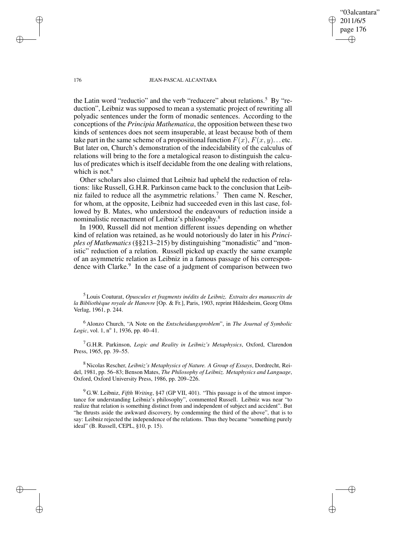"03alcantara" 2011/6/5 page 176 ✐ ✐

✐

✐

#### 176 JEAN-PASCAL ALCANTARA

the Latin word "reductio" and the verb "reducere" about relations.<sup>5</sup> By "reduction", Leibniz was supposed to mean a systematic project of rewriting all polyadic sentences under the form of monadic sentences. According to the conceptions of the *Principia Mathematica*, the opposition between these two kinds of sentences does not seem insuperable, at least because both of them take part in the same scheme of a propositional function  $F(x)$ ,  $F(x, y)$ ... etc. But later on, Church's demonstration of the indecidability of the calculus of relations will bring to the fore a metalogical reason to distinguish the calculus of predicates which is itself decidable from the one dealing with relations, which is not. $6$ 

Other scholars also claimed that Leibniz had upheld the reduction of relations: like Russell, G.H.R. Parkinson came back to the conclusion that Leibniz failed to reduce all the asymmetric relations.<sup>7</sup> Then came N. Rescher, for whom, at the opposite, Leibniz had succeeded even in this last case, followed by B. Mates, who understood the endeavours of reduction inside a nominalistic reenactment of Leibniz's philosophy.<sup>8</sup>

In 1900, Russell did not mention different issues depending on whether kind of relation was retained, as he would notoriously do later in his *Principles of Mathematics* (§§213–215) by distinguishing "monadistic" and "monistic" reduction of a relation. Russell picked up exactly the same example of an asymmetric relation as Leibniz in a famous passage of his correspondence with Clarke.<sup>9</sup> In the case of a judgment of comparison between two

<sup>6</sup> Alonzo Church, "A Note on the *Entscheidungsproblem*", in *The Journal of Symbolic* Logic, vol. 1, n<sup>o</sup> 1, 1936, pp. 40–41.

<sup>7</sup> G.H.R. Parkinson, *Logic and Reality in Leibniz's Metaphysics*, Oxford, Clarendon Press, 1965, pp. 39–55.

<sup>8</sup> Nicolas Rescher, *Leibniz's Metaphysics of Nature. A Group of Essays*, Dordrecht, Reidel, 1981, pp. 56–83; Benson Mates, *The Philosophy of Leibniz. Metaphysics and Language*, Oxford, Oxford University Press, 1986, pp. 209–226.

<sup>9</sup> G.W. Leibniz, *Fifth Writing*, §47 (GP VII, 401). "This passage is of the utmost importance for understanding Leibniz's philosophy", commented Russell. Leibniz was near "to realize that relation is something distinct from and independent of subject and accident". But "he thrusts aside the awkward discovery, by condemning the third of the above", that is to say: Leibniz rejected the independence of the relations. Thus they became "something purely ideal" (B. Russell, CEPL, §10, p. 15).

✐

✐

✐

<sup>5</sup> Louis Couturat, *Opuscules et fragments inédits de Leibniz. Extraits des manuscrits de la Bibliothèque royale de Hanovre* [Op. & Fr.], Paris, 1903, reprint Hildesheim, Georg Olms Verlag, 1961, p. 244.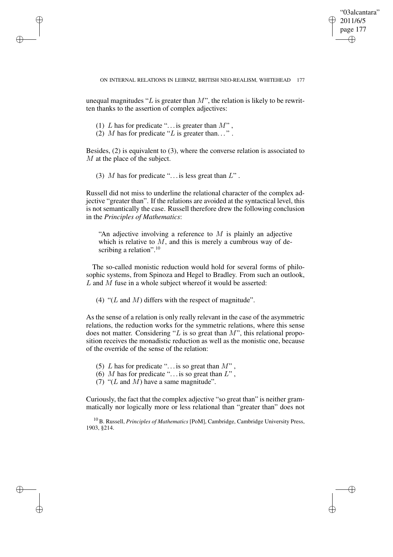✐

#### ON INTERNAL RELATIONS IN LEIBNIZ, BRITISH NEO-REALISM, WHITEHEAD 177

unequal magnitudes " $L$  is greater than  $M$ ", the relation is likely to be rewritten thanks to the assertion of complex adjectives:

(1) L has for predicate "... is greater than  $M$ ",

✐

✐

✐

✐

(2) M has for predicate "L is greater than...".

Besides, (2) is equivalent to (3), where the converse relation is associated to M at the place of the subject.

(3) M has for predicate "... is less great than  $L$ ".

Russell did not miss to underline the relational character of the complex adjective "greater than". If the relations are avoided at the syntactical level, this is not semantically the case. Russell therefore drew the following conclusion in the *Principles of Mathematics*:

"An adjective involving a reference to  $M$  is plainly an adjective which is relative to  $M$ , and this is merely a cumbrous way of describing a relation".<sup>10</sup>

The so-called monistic reduction would hold for several forms of philosophic systems, from Spinoza and Hegel to Bradley. From such an outlook,  $L$  and  $M$  fuse in a whole subject whereof it would be asserted:

(4) " $(L \text{ and } M)$  differs with the respect of magnitude".

As the sense of a relation is only really relevant in the case of the asymmetric relations, the reduction works for the symmetric relations, where this sense does not matter. Considering "L is so great than  $M$ ", this relational proposition receives the monadistic reduction as well as the monistic one, because of the override of the sense of the relation:

- (5) L has for predicate "... is so great than  $M$ ",
- (6) M has for predicate "... is so great than  $L$ ",
- (7) " $(L \text{ and } M)$  have a same magnitude".

Curiously, the fact that the complex adjective "so great than" is neither grammatically nor logically more or less relational than "greater than" does not

<sup>10</sup> B. Russell, *Principles of Mathematics* [PoM], Cambridge, Cambridge University Press, 1903, §214.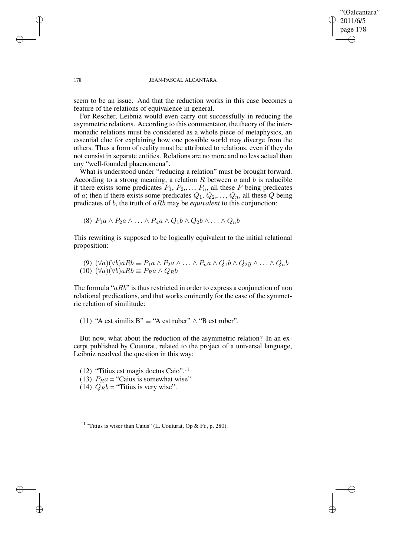### "03alcantara" 2011/6/5 page 178 ✐ ✐

✐

✐

#### 178 JEAN-PASCAL ALCANTARA

seem to be an issue. And that the reduction works in this case becomes a feature of the relations of equivalence in general.

For Rescher, Leibniz would even carry out successfully in reducing the asymmetric relations. According to this commentator, the theory of the intermonadic relations must be considered as a whole piece of metaphysics, an essential clue for explaining how one possible world may diverge from the others. Thus a form of reality must be attributed to relations, even if they do not consist in separate entities. Relations are no more and no less actual than any "well-founded phaenomena".

What is understood under "reducing a relation" must be brought forward. According to a strong meaning, a relation  $R$  between  $a$  and  $b$  is reducible if there exists some predicates  $P_1$ ,  $P_2$ ,...,  $P_n$ , all these P being predicates of a; then if there exists some predicates  $Q_1, Q_2, \ldots, Q_n$ , all these Q being predicates of b, the truth of aRb may be *equivalent* to this conjunction:

(8)  $P_1a \wedge P_2a \wedge \ldots \wedge P_na \wedge Q_1b \wedge Q_2b \wedge \ldots \wedge Q_nb$ 

This rewriting is supposed to be logically equivalent to the initial relational proposition:

(9) 
$$
(\forall a)(\forall b)aRb \equiv P_1a \land P_2a \land \dots \land P_na \land Q_1b \land Q_2y \land \dots \land Q_nb
$$
  
(10)  $(\forall a)(\forall b)aRb \equiv P_Ra \land Q_Rb$ 

The formula " $aRb$ " is thus restricted in order to express a conjunction of non relational predications, and that works eminently for the case of the symmetric relation of similitude:

(11) "A est similis B"  $\equiv$  "A est ruber"  $\wedge$  "B est ruber".

But now, what about the reduction of the asymmetric relation? In an excerpt published by Couturat, related to the project of a universal language, Leibniz resolved the question in this way:

- (12) "Titius est magis doctus Caio".<sup>11</sup>
- (13)  $P_R a =$  "Caius is somewhat wise"
- (14)  $Q_B b =$  "Titius is very wise".

<sup>11</sup> "Titius is wiser than Caius" (L. Couturat, Op & Fr., p. 280).

✐

✐

✐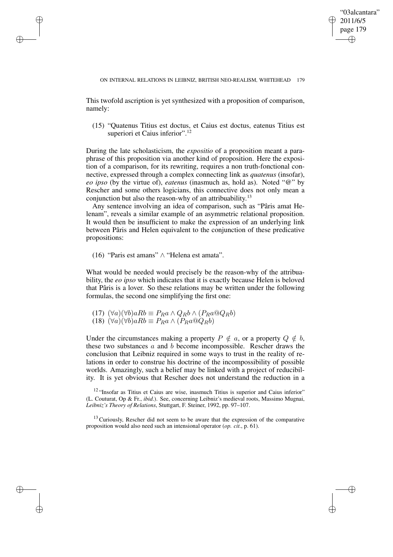✐

This twofold ascription is yet synthesized with a proposition of comparison, namely:

(15) "Quatenus Titius est doctus, et Caius est doctus, eatenus Titius est superiori et Caius inferior".<sup>12</sup>

During the late scholasticism, the *expositio* of a proposition meant a paraphrase of this proposition via another kind of proposition. Here the exposition of a comparison, for its rewriting, requires a non truth-fonctional connective, expressed through a complex connecting link as *quatenus* (insofar), *eo ipso* (by the virtue of), *eatenus* (inasmuch as, hold as). Noted "@" by Rescher and some others logicians, this connective does not only mean a conjunction but also the reason-why of an attribuability.<sup>13</sup>

Any sentence involving an idea of comparison, such as "Pâris amat Helenam", reveals a similar example of an asymmetric relational proposition. It would then be insufficient to make the expression of an underlying link between Pâris and Helen equivalent to the conjunction of these predicative propositions:

(16) "Paris est amans" ∧ "Helena est amata".

✐

✐

✐

✐

What would be needed would precisely be the reason-why of the attribuability, the *eo ipso* which indicates that it is exactly because Helen is beloved that Pâris is a lover. So these relations may be written under the following formulas, the second one simplifying the first one:

```
(17) (\forall a)(\forall b)aRb \equiv P_Ra \wedge Q_Rb \wedge (P_Ra@Q_Rb)(18) (\forall a)(\forall b)aRb \equiv P_Ra \wedge (P_Ra@Q_Rb)
```
Under the circumstances making a property  $P \notin a$ , or a property  $Q \notin b$ , these two substances a and b become incompossible. Rescher draws the conclusion that Leibniz required in some ways to trust in the reality of relations in order to construe his doctrine of the incompossibility of possible worlds. Amazingly, such a belief may be linked with a project of reducibility. It is yet obvious that Rescher does not understand the reduction in a

<sup>12</sup> "Insofar as Titius et Caius are wise, inasmuch Titius is superior and Caius inferior" (L. Couturat, Op & Fr., *ibid*.). See, concerning Leibniz's medieval roots, Massimo Mugnai, *Leibniz's Theory of Relations*, Stuttgart, F. Steiner, 1992, pp. 97–107.

 $13$  Curiously, Rescher did not seem to be aware that the expression of the comparative proposition would also need such an intensional operator (*op. cit.*, p. 61).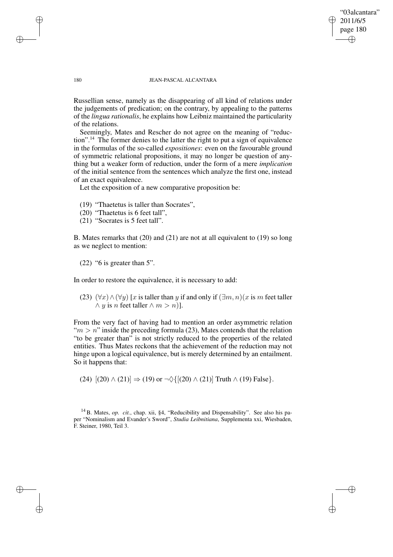### "03alcantara" 2011/6/5 page 180 ✐ ✐

✐

✐

### 180 JEAN-PASCAL ALCANTARA

Russellian sense, namely as the disappearing of all kind of relations under the judgements of predication; on the contrary, by appealing to the patterns of the *lingua rationalis*, he explains how Leibniz maintained the particularity of the relations.

Seemingly, Mates and Rescher do not agree on the meaning of "reduction".<sup>14</sup> The former denies to the latter the right to put a sign of equivalence in the formulas of the so-called *expositiones*: even on the favourable ground of symmetric relational propositions, it may no longer be question of anything but a weaker form of reduction, under the form of a mere *implication* of the initial sentence from the sentences which analyze the first one, instead of an exact equivalence.

Let the exposition of a new comparative proposition be:

(19) "Thaetetus is taller than Socrates",

- (20) "Thaetetus is 6 feet tall",
- (21) "Socrates is 5 feet tall".

B. Mates remarks that (20) and (21) are not at all equivalent to (19) so long as we neglect to mention:

(22) "6 is greater than 5".

In order to restore the equivalence, it is necessary to add:

(23)  $(\forall x) \land (\forall y)$  [x is taller than y if and only if  $(\exists m, n)(x$  is m feet taller  $\land$  y is n feet taller  $\land$  m > n)].

From the very fact of having had to mention an order asymmetric relation " $m > n$ " inside the preceding formula (23), Mates contends that the relation "to be greater than" is not strictly reduced to the properties of the related entities. Thus Mates reckons that the achievement of the reduction may not hinge upon a logical equivalence, but is merely determined by an entailment. So it happens that:

(24)  $[(20) \wedge (21)] \Rightarrow (19)$  or  $\neg \Diamond \{[(20) \wedge (21)]\}$  Truth  $\wedge (19)$  False }.

<sup>14</sup> B. Mates, *op. cit.*, chap. xii, §4, "Reducibility and Dispensability". See also his paper "Nominalism and Evander's Sword", *Studia Leibnitiana*, Supplementa xxi, Wiesbaden, F. Steiner, 1980, Teil 3.

✐

✐

✐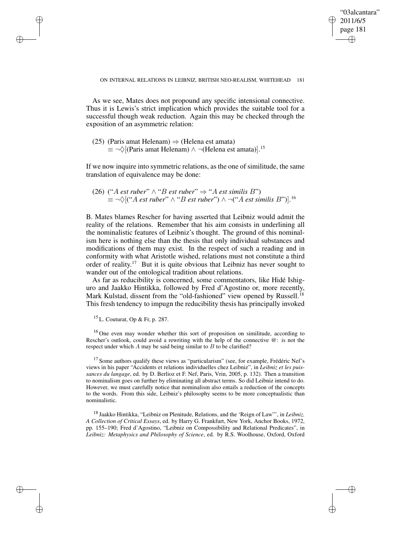✐

As we see, Mates does not propound any specific intensional connective. Thus it is Lewis's strict implication which provides the suitable tool for a successful though weak reduction. Again this may be checked through the exposition of an asymmetric relation:

(25) (Paris amat Helenam)  $\Rightarrow$  (Helena est amata)  $\equiv \neg \Diamond$ [(Paris amat Helenam)  $\land \neg$ (Helena est amata)].<sup>15</sup>

If we now inquire into symmetric relations, as the one of similitude, the same translation of equivalence may be done:

(26) ("A *est ruber*"  $\wedge$  "B *est ruber*"  $\Rightarrow$  "A *est similis* B")  $\equiv \neg \Diamond [("A \; est \; rubber" \land "B \; est \; rubber") \land \neg ("A \; est \; similis \; B")].$ <sup>16</sup>

B. Mates blames Rescher for having asserted that Leibniz would admit the reality of the relations. Remember that his aim consists in underlining all the nominalistic features of Leibniz's thought. The ground of this nominalism here is nothing else than the thesis that only individual substances and modifications of them may exist. In the respect of such a reading and in conformity with what Aristotle wished, relations must not constitute a third order of reality.<sup>17</sup> But it is quite obvious that Leibniz has never sought to wander out of the ontological tradition about relations.

As far as reducibility is concerned, some commentators, like Hidé Ishiguro and Jaakko Hintikka, followed by Fred d'Agostino or, more recently, Mark Kulstad, dissent from the "old-fashioned" view opened by Russell.<sup>18</sup> This fresh tendency to impugn the reducibility thesis has principally invoked

 $15$  L. Couturat, Op & Fr, p. 287.

✐

✐

✐

✐

<sup>16</sup> One even may wonder whether this sort of proposition on similitude, according to Rescher's outlook, could avoid a rewriting with the help of the connective @: is not the respect under which  $A$  may be said being similar to  $B$  to be clarified?

<sup>17</sup> Some authors qualify these views as "particularism" (see, for example, Frédéric Nef's views in his paper "Accidents et relations individuelles chez Leibniz", in *Leibniz et les puissances du langage*, ed. by D. Berlioz et F. Nef, Paris, Vrin, 2005, p. 132). Then a transition to nominalism goes on further by eliminating all abstract terms. So did Leibniz intend to do. However, we must carefully notice that nominalism also entails a reduction of the concepts to the words. From this side, Leibniz's philosophy seems to be more conceptualistic than nominalistic.

<sup>18</sup> Jaakko Hintikka, "Leibniz on Plenitude, Relations, and the 'Reign of Law"', in *Leibniz. A Collection of Critical Essays*, ed. by Harry G. Frankfurt, New York, Anchor Books, 1972, pp. 155–190; Fred d'Agostino, "Leibniz on Compossibility and Relational Predicates", in *Leibniz: Metaphysics and Philosophy of Science*, ed. by R.S. Woolhouse, Oxford, Oxford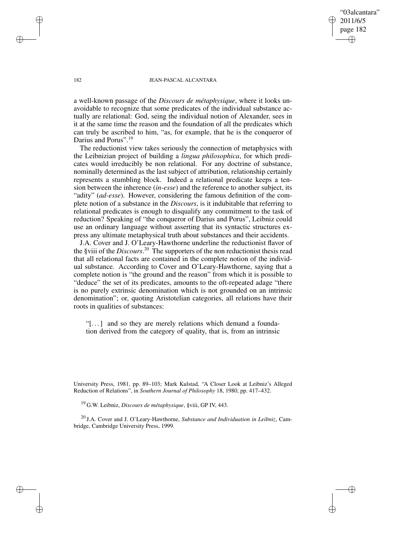"03alcantara" 2011/6/5 page 182 ✐ ✐

✐

✐

### 182 JEAN-PASCAL ALCANTARA

a well-known passage of the *Discours de métaphysique*, where it looks unavoidable to recognize that some predicates of the individual substance actually are relational: God, seing the individual notion of Alexander, sees in it at the same time the reason and the foundation of all the predicates which can truly be ascribed to him, "as, for example, that he is the conqueror of Darius and Porus".<sup>19</sup>

The reductionist view takes seriously the connection of metaphysics with the Leibnizian project of building a *lingua philosophica*, for which predicates would irreducibly be non relational. For any doctrine of substance, nominally determined as the last subject of attribution, relationship certainly represents a stumbling block. Indeed a relational predicate keeps a tension between the inherence (*in-esse*) and the reference to another subject, its "adity" (*ad-esse*). However, considering the famous definition of the complete notion of a substance in the *Discours*, is it indubitable that referring to relational predicates is enough to disqualify any commitment to the task of reduction? Speaking of "the conqueror of Darius and Porus", Leibniz could use an ordinary language without asserting that its syntactic structures express any ultimate metaphysical truth about substances and their accidents.

J.A. Cover and J. O'Leary-Hawthorne underline the reductionist flavor of the §viii of the *Discours*. <sup>20</sup> The supporters of the non reductionist thesis read that all relational facts are contained in the complete notion of the individual substance. According to Cover and O'Leary-Hawthorne, saying that a complete notion is "the ground and the reason" from which it is possible to "deduce" the set of its predicates, amounts to the oft-repeated adage "there is no purely extrinsic denomination which is not grounded on an intrinsic denomination"; or, quoting Aristotelian categories, all relations have their roots in qualities of substances:

"[. . .] and so they are merely relations which demand a foundation derived from the category of quality, that is, from an intrinsic

University Press, 1981, pp. 89–103; Mark Kulstad, "A Closer Look at Leibniz's Alleged Reduction of Relations", in *Southern Journal of Philosophy* 18, 1980, pp. 417–432.

<sup>19</sup> G.W. Leibniz, *Discours de métaphysique*, §viii, GP IV, 443.

<sup>20</sup> J.A. Cover and J. O'Leary-Hawthorne, *Substance and Individuation in Leibniz*, Cambridge, Cambridge University Press, 1999.

✐

✐

✐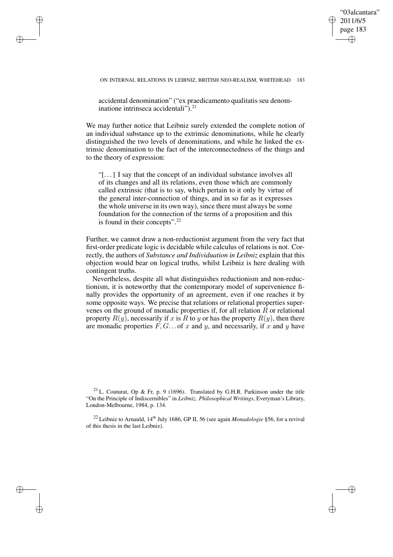"03alcantara" 2011/6/5 page 183 ✐ ✐

✐

✐

accidental denomination" ("ex praedicamento qualitatis seu denominatione intrinseca accidentali").<sup>21</sup>

✐

✐

✐

✐

We may further notice that Leibniz surely extended the complete notion of an individual substance up to the extrinsic denominations, while he clearly distinguished the two levels of denominations, and while he linked the extrinsic denomination to the fact of the interconnectedness of the things and to the theory of expression:

"[. . .] I say that the concept of an individual substance involves all of its changes and all its relations, even those which are commonly called extrinsic (that is to say, which pertain to it only by virtue of the general inter-connection of things, and in so far as it expresses the whole universe in its own way), since there must always be some foundation for the connection of the terms of a proposition and this is found in their concepts".<sup>22</sup>

Further, we cannot draw a non-reductionist argument from the very fact that first-order predicate logic is decidable while calculus of relations is not. Correctly, the authors of *Substance and Individuation in Leibniz* explain that this objection would bear on logical truths, whilst Leibniz is here dealing with contingent truths.

Nevertheless, despite all what distinguishes reductionism and non-reductionism, it is noteworthy that the contemporary model of supervenience finally provides the opportunity of an agreement, even if one reaches it by some opposite ways. We precise that relations or relational properties supervenes on the ground of monadic properties if, for all relation  $R$  or relational property  $R(y)$ , necessarily if x is R to y or has the property  $R(y)$ , then there are monadic properties  $F, G, \ldots$  of x and y, and necessarily, if x and y have

<sup>&</sup>lt;sup>21</sup> L. Couturat, Op & Fr, p. 9 (1696). Translated by G.H.R. Parkinson under the title "On the Principle of Indiscernibles" in *Leibniz. Philosophical Writings*, Everyman's Library, London-Melbourne, 1984, p. 134.

<sup>&</sup>lt;sup>22</sup> Leibniz to Arnauld, 14<sup>th</sup> July 1686, GP II, 56 (see again *Monadologie* §56, for a revival of this thesis in the last Leibniz).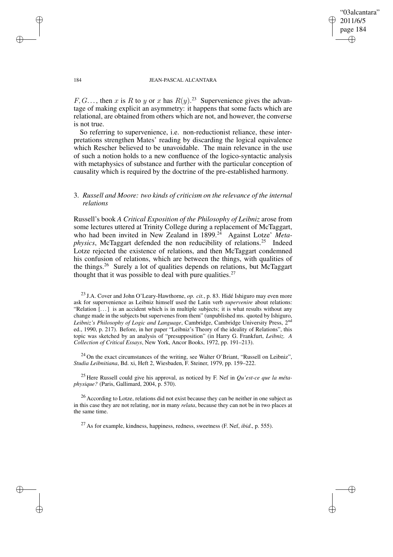✐

### 184 JEAN-PASCAL ALCANTARA

 $F, G, \ldots$ , then x is R to y or x has  $R(y)$ .<sup>23</sup> Supervenience gives the advantage of making explicit an asymmetry: it happens that some facts which are relational, are obtained from others which are not, and however, the converse is not true.

So referring to supervenience, i.e. non-reductionist reliance, these interpretations strengthen Mates' reading by discarding the logical equivalence which Rescher believed to be unavoidable. The main relevance in the use of such a notion holds to a new confluence of the logico-syntactic analysis with metaphysics of substance and further with the particular conception of causality which is required by the doctrine of the pre-established harmony.

## 3. *Russell and Moore: two kinds of criticism on the relevance of the internal relations*

Russell's book *A Critical Exposition of the Philosophy of Leibniz* arose from some lectures uttered at Trinity College during a replacement of McTaggart, who had been invited in New Zealand in 1899.<sup>24</sup> Against Lotze' Meta*physics*, McTaggart defended the non reducibility of relations.<sup>25</sup> Indeed Lotze rejected the existence of relations, and then McTaggart condemned his confusion of relations, which are between the things, with qualities of the things.<sup>26</sup> Surely a lot of qualities depends on relations, but McTaggart thought that it was possible to deal with pure qualities. $27$ 

<sup>23</sup> J.A. Cover and John O'Leary-Hawthorne, *op. cit.*, p. 83. Hidé Ishiguro may even more ask for supervenience as Leibniz himself used the Latin verb *supervenire* about relations: "Relation  $\left[\ldots\right]$  is an accident which is in multiple subjects; it is what results without any change made in the subjects but supervenes from them" (unpublished ms. quoted by Ishiguro, *Leibniz's Philosophy of Logic and Language*, Cambridge, Cambridge University Press, 2 nd ed., 1990, p. 217). Before, in her paper "Leibniz's Theory of the ideality of Relations", this topic was sketched by an analysis of "presupposition" (in Harry G. Frankfurt, *Leibniz. A Collection of Critical Essays*, New York, Ancor Books, 1972, pp. 191–213).

<sup>24</sup> On the exact circumstances of the writing, see Walter O'Briant, "Russell on Leibniz", *Studia Leibnitiana*, Bd. xi, Heft 2, Wiesbaden, F. Steiner, 1979, pp. 159–222.

<sup>25</sup> Here Russell could give his approval, as noticed by F. Nef in *Qu'est-ce que la métaphysique?* (Paris, Gallimard, 2004, p. 570).

<sup>26</sup> According to Lotze, relations did not exist because they can be neither in one subject as in this case they are not relating, nor in many *relata*, because they can not be in two places at the same time.

<sup>27</sup> As for example, kindness, happiness, redness, sweetness (F. Nef, *ibid*., p. 555).

✐

✐

✐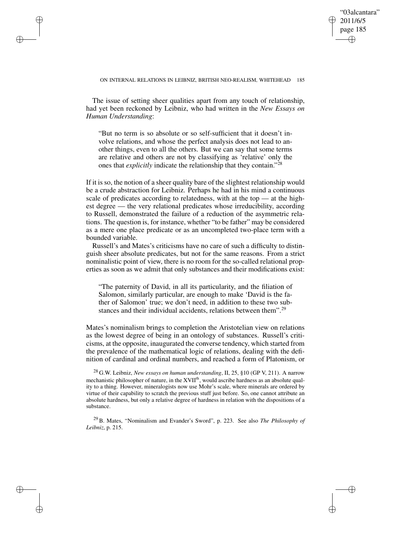✐

#### ON INTERNAL RELATIONS IN LEIBNIZ, BRITISH NEO-REALISM, WHITEHEAD 185

The issue of setting sheer qualities apart from any touch of relationship, had yet been reckoned by Leibniz, who had written in the *New Essays on Human Understanding*:

✐

✐

✐

✐

"But no term is so absolute or so self-sufficient that it doesn't involve relations, and whose the perfect analysis does not lead to another things, even to all the others. But we can say that some terms are relative and others are not by classifying as 'relative' only the ones that *explicitly* indicate the relationship that they contain." 28

If it is so, the notion of a sheer quality bare of the slightest relationship would be a crude abstraction for Leibniz. Perhaps he had in his mind a continuous scale of predicates according to relatedness, with at the top — at the highest degree — the very relational predicates whose irreducibility, according to Russell, demonstrated the failure of a reduction of the asymmetric relations. The question is, for instance, whether "to be father" may be considered as a mere one place predicate or as an uncompleted two-place term with a bounded variable.

Russell's and Mates's criticisms have no care of such a difficulty to distinguish sheer absolute predicates, but not for the same reasons. From a strict nominalistic point of view, there is no room for the so-called relational properties as soon as we admit that only substances and their modifications exist:

"The paternity of David, in all its particularity, and the filiation of Salomon, similarly particular, are enough to make 'David is the father of Salomon' true; we don't need, in addition to these two substances and their individual accidents, relations between them".<sup>29</sup>

Mates's nominalism brings to completion the Aristotelian view on relations as the lowest degree of being in an ontology of substances. Russell's criticisms, at the opposite, inaugurated the converse tendency, which started from the prevalence of the mathematical logic of relations, dealing with the definition of cardinal and ordinal numbers, and reached a form of Platonism, or

<sup>28</sup> G.W. Leibniz, *New essays on human understanding*, II, 25, §10 (GP V, 211). A narrow mechanistic philosopher of nature, in the XVII<sup>th</sup>, would ascribe hardness as an absolute quality to a thing. However, mineralogists now use Mohr's scale, where minerals are ordered by virtue of their capability to scratch the previous stuff just before. So, one cannot attribute an absolute hardness, but only a relative degree of hardness in relation with the dispositions of a substance.

<sup>29</sup> B. Mates, "Nominalism and Evander's Sword", p. 223. See also *The Philosophy of Leibniz*, p. 215.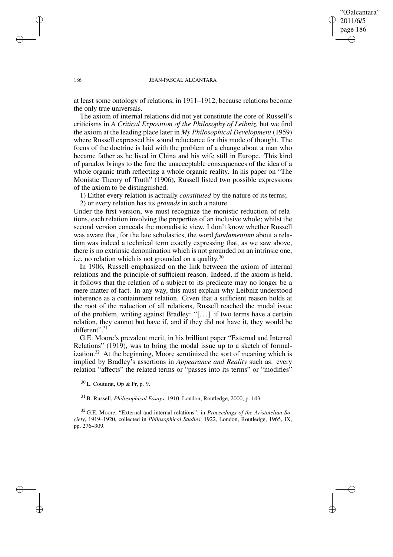"03alcantara" 2011/6/5 page 186 ✐ ✐

✐

✐

#### 186 JEAN-PASCAL ALCANTARA

at least some ontology of relations, in 1911–1912, because relations become the only true universals.

The axiom of internal relations did not yet constitute the core of Russell's criticisms in *A Critical Exposition of the Philosophy of Leibniz*, but we find the axiom at the leading place later in *My Philosophical Development* (1959) where Russell expressed his sound reluctance for this mode of thought. The focus of the doctrine is laid with the problem of a change about a man who became father as he lived in China and his wife still in Europe. This kind of paradox brings to the fore the unacceptable consequences of the idea of a whole organic truth reflecting a whole organic reality. In his paper on "The Monistic Theory of Truth" (1906), Russell listed two possible expressions of the axiom to be distinguished.

1) Either every relation is actually *constituted* by the nature of its terms;

2) or every relation has its *grounds* in such a nature.

Under the first version, we must recognize the monistic reduction of relations, each relation involving the properties of an inclusive whole; whilst the second version conceals the monadistic view. I don't know whether Russell was aware that, for the late scholastics, the word *fundamentum* about a relation was indeed a technical term exactly expressing that, as we saw above, there is no extrinsic denomination which is not grounded on an intrinsic one, i.e. no relation which is not grounded on a quality.<sup>30</sup>

In 1906, Russell emphasized on the link between the axiom of internal relations and the principle of sufficient reason. Indeed, if the axiom is held, it follows that the relation of a subject to its predicate may no longer be a mere matter of fact. In any way, this must explain why Leibniz understood inherence as a containment relation. Given that a sufficient reason holds at the root of the reduction of all relations, Russell reached the modal issue of the problem, writing against Bradley: "[. . .] if two terms have a certain relation, they cannot but have if, and if they did not have it, they would be different".<sup>31</sup>

G.E. Moore's prevalent merit, in his brilliant paper "External and Internal Relations" (1919), was to bring the modal issue up to a sketch of formalization. $32$  At the beginning, Moore scrutinized the sort of meaning which is implied by Bradley's assertions in *Appearance and Reality* such as: every relation "affects" the related terms or "passes into its terms" or "modifies"

 $30$  L. Couturat, Op & Fr, p. 9.

<sup>31</sup> B. Russell, *Philosophical Essays*, 1910, London, Routledge, 2000, p. 143.

<sup>32</sup> G.E. Moore, "External and internal relations", in *Proceedings of the Aristotelian Society*, 1919–1920, collected in *Philosophical Studies*, 1922, London, Routledge, 1965, IX, pp. 276–309.

✐

✐

✐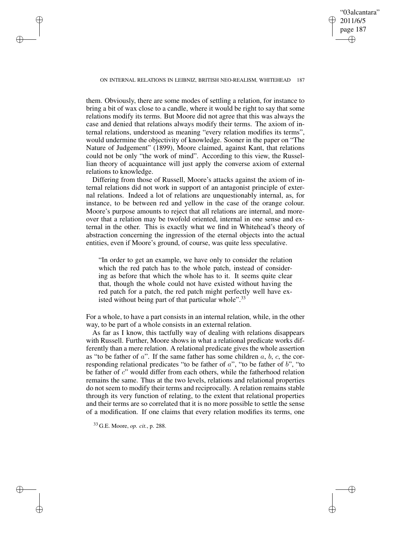"03alcantara" 2011/6/5 page 187 ✐ ✐

✐

✐

#### ON INTERNAL RELATIONS IN LEIBNIZ, BRITISH NEO-REALISM, WHITEHEAD 187

them. Obviously, there are some modes of settling a relation, for instance to bring a bit of wax close to a candle, where it would be right to say that some relations modify its terms. But Moore did not agree that this was always the case and denied that relations always modify their terms. The axiom of internal relations, understood as meaning "every relation modifies its terms", would undermine the objectivity of knowledge. Sooner in the paper on "The Nature of Judgement" (1899), Moore claimed, against Kant, that relations could not be only "the work of mind". According to this view, the Russellian theory of acquaintance will just apply the converse axiom of external relations to knowledge.

Differing from those of Russell, Moore's attacks against the axiom of internal relations did not work in support of an antagonist principle of external relations. Indeed a lot of relations are unquestionably internal, as, for instance, to be between red and yellow in the case of the orange colour. Moore's purpose amounts to reject that all relations are internal, and moreover that a relation may be twofold oriented, internal in one sense and external in the other. This is exactly what we find in Whitehead's theory of abstraction concerning the ingression of the eternal objects into the actual entities, even if Moore's ground, of course, was quite less speculative.

"In order to get an example, we have only to consider the relation which the red patch has to the whole patch, instead of considering as before that which the whole has to it. It seems quite clear that, though the whole could not have existed without having the red patch for a patch, the red patch might perfectly well have existed without being part of that particular whole".<sup>33</sup>

For a whole, to have a part consists in an internal relation, while, in the other way, to be part of a whole consists in an external relation.

As far as I know, this tactfully way of dealing with relations disappears with Russell. Further, Moore shows in what a relational predicate works differently than a mere relation. A relational predicate gives the whole assertion as "to be father of  $a$ ". If the same father has some children  $a, b, c$ , the corresponding relational predicates "to be father of a", "to be father of b", "to be father of  $c$ " would differ from each others, while the fatherhood relation remains the same. Thus at the two levels, relations and relational properties do not seem to modify their terms and reciprocally. A relation remains stable through its very function of relating, to the extent that relational properties and their terms are so correlated that it is no more possible to settle the sense of a modification. If one claims that every relation modifies its terms, one

<sup>33</sup> G.E. Moore, *op. cit.*, p. 288.

✐

✐

✐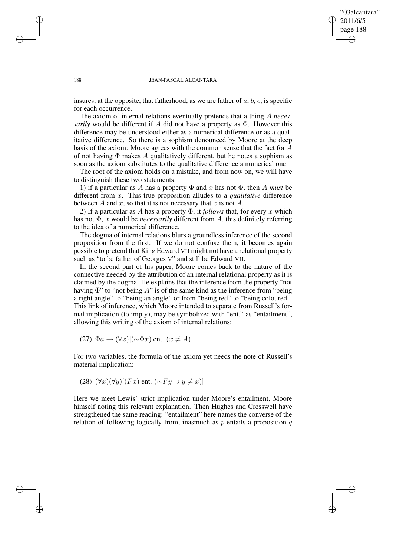✐

#### 188 JEAN-PASCAL ALCANTARA

insures, at the opposite, that fatherhood, as we are father of  $a, b, c$ , is specific for each occurrence.

The axiom of internal relations eventually pretends that a thing A *necessarily* would be different if A did not have a property as Φ. However this difference may be understood either as a numerical difference or as a qualitative difference. So there is a sophism denounced by Moore at the deep basis of the axiom: Moore agrees with the common sense that the fact for A of not having  $\Phi$  makes A qualitatively different, but he notes a sophism as soon as the axiom substitutes to the qualitative difference a numerical one.

The root of the axiom holds on a mistake, and from now on, we will have to distinguish these two statements:

1) if a particular as A has a property  $\Phi$  and x has not  $\Phi$ , then A *must* be different from x. This true proposition alludes to a *qualitative* difference between  $A$  and  $x$ , so that it is not necessary that  $x$  is not  $A$ .

2) If a particular as A has a property  $\Phi$ , it *follows* that, for every x which has not Φ, x would be *necessarily* different from A, this definitely referring to the idea of a numerical difference.

The dogma of internal relations blurs a groundless inference of the second proposition from the first. If we do not confuse them, it becomes again possible to pretend that King Edward VII might not have a relational property such as "to be father of Georges V" and still be Edward VII.

In the second part of his paper, Moore comes back to the nature of the connective needed by the attribution of an internal relational property as it is claimed by the dogma. He explains that the inference from the property "not having  $\Phi$ " to "not being  $A$ " is of the same kind as the inference from "being a right angle" to "being an angle" or from "being red" to "being coloured". This link of inference, which Moore intended to separate from Russell's formal implication (to imply), may be symbolized with "ent." as "entailment", allowing this writing of the axiom of internal relations:

(27) 
$$
\Phi a \rightarrow (\forall x)[(\sim \Phi x)
$$
 ent.  $(x \neq A)]$ 

For two variables, the formula of the axiom yet needs the note of Russell's material implication:

(28) 
$$
(\forall x)(\forall y)[(Fx)
$$
 ent.  $({\sim}Fy \supset y \neq x)]$ 

Here we meet Lewis' strict implication under Moore's entailment, Moore himself noting this relevant explanation. Then Hughes and Cresswell have strengthened the same reading: "entailment" here names the converse of the relation of following logically from, inasmuch as  $p$  entails a proposition  $q$ 

✐

✐

✐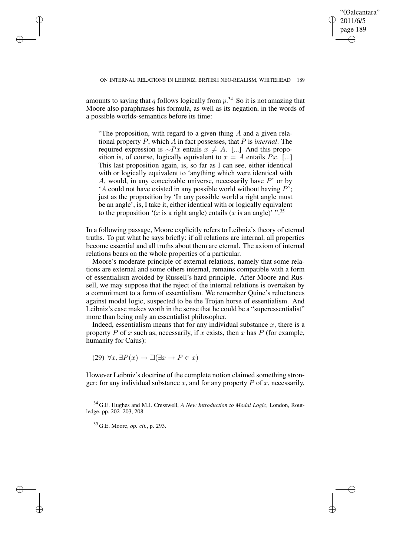✐

amounts to saying that q follows logically from  $p^{34}$  So it is not amazing that Moore also paraphrases his formula, as well as its negation, in the words of a possible worlds-semantics before its time:

"The proposition, with regard to a given thing  $A$  and a given relational property P, which A in fact possesses, that P is *internal*. The required expression is ∼Px entails  $x \neq A$ . [...] And this proposition is, of course, logically equivalent to  $x = A$  entails  $Px$ . [...] This last proposition again, is, so far as I can see, either identical with or logically equivalent to 'anything which were identical with A, would, in any conceivable universe, necessarily have  $P'$  or by 'A could not have existed in any possible world without having  $P'$ ; just as the proposition by 'In any possible world a right angle must be an angle', is, I take it, either identical with or logically equivalent to the proposition '(x is a right angle) entails (x is an angle)' ".<sup>35</sup>

In a following passage, Moore explicitly refers to Leibniz's theory of eternal truths. To put what he says briefly: if all relations are internal, all properties become essential and all truths about them are eternal. The axiom of internal relations bears on the whole properties of a particular.

Moore's moderate principle of external relations, namely that some relations are external and some others internal, remains compatible with a form of essentialism avoided by Russell's hard principle. After Moore and Russell, we may suppose that the reject of the internal relations is overtaken by a commitment to a form of essentialism. We remember Quine's reluctances against modal logic, suspected to be the Trojan horse of essentialism. And Leibniz's case makes worth in the sense that he could be a "superessentialist" more than being only an essentialist philosopher.

Indeed, essentialism means that for any individual substance  $x$ , there is a property P of x such as, necessarily, if x exists, then x has P (for example, humanity for Caius):

 $(29) \forall x, \exists P(x) \rightarrow \Box(\exists x \rightarrow P \in x)$ 

However Leibniz's doctrine of the complete notion claimed something stronger: for any individual substance x, and for any property  $P$  of x, necessarily,

<sup>34</sup> G.E. Hughes and M.J. Cresswell, *A New Introduction to Modal Logic*, London, Routledge, pp. 202–203, 208.

<sup>35</sup> G.E. Moore, *op. cit.*, p. 293.

✐

✐

✐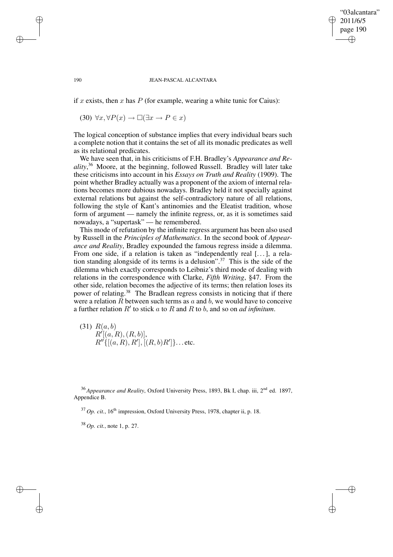### "03alcantara" 2011/6/5 page 190 ✐ ✐

✐

✐

#### 190 JEAN-PASCAL ALCANTARA

if x exists, then x has P (for example, wearing a white tunic for Caius):

 $(30)$   $\forall x, \forall P(x) \rightarrow \Box(\exists x \rightarrow P \in x)$ 

The logical conception of substance implies that every individual bears such a complete notion that it contains the set of all its monadic predicates as well as its relational predicates.

We have seen that, in his criticisms of F.H. Bradley's *Appearance and Reality*, <sup>36</sup> Moore, at the beginning, followed Russell. Bradley will later take these criticisms into account in his *Essays on Truth and Reality* (1909). The point whether Bradley actually was a proponent of the axiom of internal relations becomes more dubious nowadays. Bradley held it not specially against external relations but against the self-contradictory nature of all relations, following the style of Kant's antinomies and the Eleatist tradition, whose form of argument — namely the infinite regress, or, as it is sometimes said nowadays, a "supertask" — he remembered.

This mode of refutation by the infinite regress argument has been also used by Russell in the *Principles of Mathematics*. In the second book of *Appearance and Reality*, Bradley expounded the famous regress inside a dilemma. From one side, if a relation is taken as "independently real [...], a relation standing alongside of its terms is a delusion".<sup>37</sup> This is the side of the dilemma which exactly corresponds to Leibniz's third mode of dealing with relations in the correspondence with Clarke, *Fifth Writing*, §47. From the other side, relation becomes the adjective of its terms; then relation loses its power of relating.<sup>38</sup> The Bradlean regress consists in noticing that if there were a relation  $\tilde{R}$  between such terms as  $\alpha$  and  $\tilde{b}$ , we would have to conceive a further relation  $R'$  to stick a to  $R$  and  $R$  to  $b$ , and so on *ad infinitum*.

 $(31)$   $R(a, b)$  $R'[(a, R), (R, b)],$  $R''\{[(a, R), R'], [(R, b)R']\}...$  etc.

<sup>36</sup> Appearance and Reality, Oxford University Press, 1893, Bk I, chap. iii, 2<sup>nd</sup> ed. 1897, Appendice B.

<sup>37</sup> Op. *cit.*, 16<sup>th</sup> impression, Oxford University Press, 1978, chapter ii, p. 18.

<sup>38</sup> *Op. cit.*, note 1, p. 27.

✐

✐

✐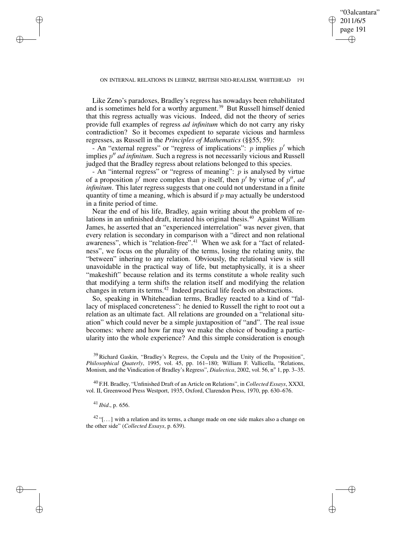✐

Like Zeno's paradoxes, Bradley's regress has nowadays been rehabilitated and is sometimes held for a worthy argument.<sup>39</sup> But Russell himself denied that this regress actually was vicious. Indeed, did not the theory of series provide full examples of regress *ad infinitum* which do not carry any risky contradiction? So it becomes expedient to separate vicious and harmless regresses, as Russell in the *Principles of Mathematics* (§§55, 59):

- An "external regress" or "regress of implications":  $p$  implies  $p'$  which implies  $p''$  *ad infinitum*. Such a regress is not necessarily vicious and Russell judged that the Bradley regress about relations belonged to this species.

- An "internal regress" or "regress of meaning":  $p$  is analysed by virtue of a proposition  $p'$  more complex than p itself, then  $p'$  by virtue of  $p''$ , *ad infinitum*. This later regress suggests that one could not understand in a finite quantity of time a meaning, which is absurd if  $p$  may actually be understood in a finite period of time.

Near the end of his life, Bradley, again writing about the problem of relations in an unfinished draft, iterated his original thesis.<sup>40</sup> Against William James, he asserted that an "experienced interrelation" was never given, that every relation is secondary in comparison with a "direct and non relational awareness", which is "relation-free".<sup>41</sup> When we ask for a "fact of relatedness", we focus on the plurality of the terms, losing the relating unity, the "between" inhering to any relation. Obviously, the relational view is still unavoidable in the practical way of life, but metaphysically, it is a sheer "makeshift" because relation and its terms constitute a whole reality such that modifying a term shifts the relation itself and modifying the relation changes in return its terms.<sup>42</sup> Indeed practical life feeds on abstractions.

So, speaking in Whiteheadian terms, Bradley reacted to a kind of "fallacy of misplaced concreteness": he denied to Russell the right to root out a relation as an ultimate fact. All relations are grounded on a "relational situation" which could never be a simple juxtaposition of "and". The real issue becomes: where and how far may we make the choice of bouding a particularity into the whole experience? And this simple consideration is enough

<sup>39</sup> Richard Gaskin, "Bradley's Regress, the Copula and the Unity of the Proposition", *Philosophical Quaterly*, 1995, vol. 45, pp. 161–180; William F. Vallicella, "Relations, Monism, and the Vindication of Bradley's Regress", *Dialectica*, 2002, vol. 56, nº 1, pp. 3-35.

<sup>40</sup> F.H. Bradley, "Unfinished Draft of an Article on Relations", in *Collected Essays*, XXXI, vol. II, Greenwood Press Westport, 1935, Oxford, Clarendon Press, 1970, pp. 630–676.

<sup>41</sup> *Ibid*., p. 656.

✐

✐

✐

✐

 $42$  "[...] with a relation and its terms, a change made on one side makes also a change on the other side" (*Collected Essays*, p. 639).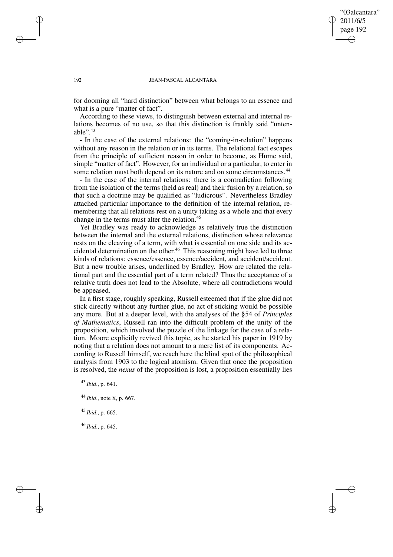### "03alcantara" 2011/6/5 page 192 ✐ ✐

✐

✐

#### 192 JEAN-PASCAL ALCANTARA

for dooming all "hard distinction" between what belongs to an essence and what is a pure "matter of fact".

According to these views, to distinguish between external and internal relations becomes of no use, so that this distinction is frankly said "untenable $\cdot$ <sup>43</sup>

- In the case of the external relations: the "coming-in-relation" happens without any reason in the relation or in its terms. The relational fact escapes from the principle of sufficient reason in order to become, as Hume said, simple "matter of fact". However, for an individual or a particular, to enter in some relation must both depend on its nature and on some circumstances.<sup>44</sup>

- In the case of the internal relations: there is a contradiction following from the isolation of the terms (held as real) and their fusion by a relation, so that such a doctrine may be qualified as "ludicrous". Nevertheless Bradley attached particular importance to the definition of the internal relation, remembering that all relations rest on a unity taking as a whole and that every change in the terms must alter the relation.<sup>45</sup>

Yet Bradley was ready to acknowledge as relatively true the distinction between the internal and the external relations, distinction whose relevance rests on the cleaving of a term, with what is essential on one side and its accidental determination on the other. <sup>46</sup> This reasoning might have led to three kinds of relations: essence/essence, essence/accident, and accident/accident. But a new trouble arises, underlined by Bradley. How are related the relational part and the essential part of a term related? Thus the acceptance of a relative truth does not lead to the Absolute, where all contradictions would be appeased.

In a first stage, roughly speaking, Russell esteemed that if the glue did not stick directly without any further glue, no act of sticking would be possible any more. But at a deeper level, with the analyses of the §54 of *Principles of Mathematics*, Russell ran into the difficult problem of the unity of the proposition, which involved the puzzle of the linkage for the case of a relation. Moore explicitly revived this topic, as he started his paper in 1919 by noting that a relation does not amount to a mere list of its components. According to Russell himself, we reach here the blind spot of the philosophical analysis from 1903 to the logical atomism. Given that once the proposition is resolved, the *nexus* of the proposition is lost, a proposition essentially lies

<sup>43</sup> *Ibid*., p. 641.

<sup>44</sup> *Ibid*., note <sup>X</sup>, p. 667.

<sup>45</sup> *Ibid*., p. 665.

<sup>46</sup> *Ibid*., p. 645.

✐

✐

✐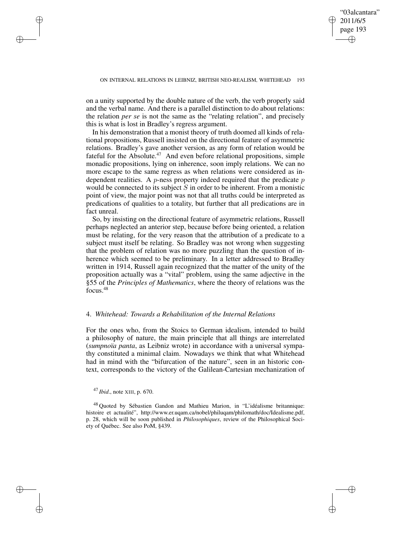✐

on a unity supported by the double nature of the verb, the verb properly said and the verbal name. And there is a parallel distinction to do about relations: the relation *per se* is not the same as the "relating relation", and precisely this is what is lost in Bradley's regress argument.

In his demonstration that a monist theory of truth doomed all kinds of relational propositions, Russell insisted on the directional feature of asymmetric relations. Bradley's gave another version, as any form of relation would be fateful for the Absolute.<sup>47</sup> And even before relational propositions, simple monadic propositions, lying on inherence, soon imply relations. We can no more escape to the same regress as when relations were considered as independent realities. A  $p$ -ness property indeed required that the predicate  $p$ would be connected to its subject  $S$  in order to be inherent. From a monistic point of view, the major point was not that all truths could be interpreted as predications of qualities to a totality, but further that all predications are in fact unreal.

So, by insisting on the directional feature of asymmetric relations, Russell perhaps neglected an anterior step, because before being oriented, a relation must be relating, for the very reason that the attribution of a predicate to a subject must itself be relating. So Bradley was not wrong when suggesting that the problem of relation was no more puzzling than the question of inherence which seemed to be preliminary. In a letter addressed to Bradley written in 1914, Russell again recognized that the matter of the unity of the proposition actually was a "vital" problem, using the same adjective in the §55 of the *Principles of Mathematics*, where the theory of relations was the focus.<sup>48</sup>

### 4. *Whitehead: Towards a Rehabilitation of the Internal Relations*

For the ones who, from the Stoics to German idealism, intended to build a philosophy of nature, the main principle that all things are interrelated (*sumpnoïa panta*, as Leibniz wrote) in accordance with a universal sympathy constituted a minimal claim. Nowadays we think that what Whitehead had in mind with the "bifurcation of the nature", seen in an historic context, corresponds to the victory of the Galilean-Cartesian mechanization of

<sup>47</sup> *Ibid*., note XIII, p. 670.

✐

✐

✐

<sup>48</sup> Quoted by Sébastien Gandon and Mathieu Marion, in "L'idéalisme britannique: histoire et actualité", http://www.er.uqam.ca/nobel/philuqam/philomath/doc/Idealisme.pdf, p. 28, which will be soon published in *Philosophiques*, review of the Philosophical Society of Québec. See also PoM, §439.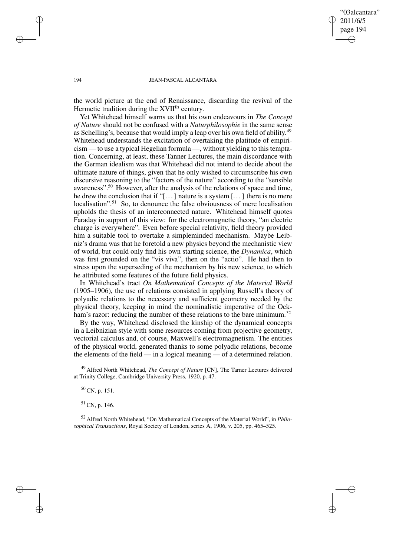"03alcantara" 2011/6/5 page 194 ✐ ✐

✐

✐

### 194 JEAN-PASCAL ALCANTARA

the world picture at the end of Renaissance, discarding the revival of the Hermetic tradition during the XVII<sup>th</sup> century.

Yet Whitehead himself warns us that his own endeavours in *The Concept of Nature* should not be confused with a *Naturphilosophie* in the same sense as Schelling's, because that would imply a leap over his own field of ability.<sup>49</sup> Whitehead understands the excitation of overtaking the platitude of empiricism — to use a typical Hegelian formula —, without yielding to this temptation. Concerning, at least, these Tanner Lectures, the main discordance with the German idealism was that Whitehead did not intend to decide about the ultimate nature of things, given that he only wished to circumscribe his own discursive reasoning to the "factors of the nature" according to the "sensible awareness".<sup>50</sup> However, after the analysis of the relations of space and time, he drew the conclusion that if "[ $\dots$ ] nature is a system [ $\dots$ ] there is no mere localisation".<sup>51</sup> So, to denounce the false obviousness of mere localisation upholds the thesis of an interconnected nature. Whitehead himself quotes Faraday in support of this view: for the electromagnetic theory, "an electric charge is everywhere". Even before special relativity, field theory provided him a suitable tool to overtake a simpleminded mechanism. Maybe Leibniz's drama was that he foretold a new physics beyond the mechanistic view of world, but could only find his own starting science, the *Dynamica*, which was first grounded on the "vis viva", then on the "actio". He had then to stress upon the superseding of the mechanism by his new science, to which he attributed some features of the future field physics.

In Whitehead's tract *On Mathematical Concepts of the Material World* (1905–1906), the use of relations consisted in applying Russell's theory of polyadic relations to the necessary and sufficient geometry needed by the physical theory, keeping in mind the nominalistic imperative of the Ockham's razor: reducing the number of these relations to the bare minimum.<sup>52</sup>

By the way, Whitehead disclosed the kinship of the dynamical concepts in a Leibnizian style with some resources coming from projective geometry, vectorial calculus and, of course, Maxwell's electromagnetism. The entities of the physical world, generated thanks to some polyadic relations, become the elements of the field — in a logical meaning — of a determined relation.

<sup>49</sup> Alfred North Whitehead, *The Concept of Nature* [CN], The Tarner Lectures delivered at Trinity College, Cambridge University Press, 1920, p. 47.

<sup>50</sup> CN, p. 151.

<sup>51</sup> CN, p. 146.

<sup>52</sup> Alfred North Whitehead, "On Mathematical Concepts of the Material World", in *Philosophical Transactions*, Royal Society of London, series A, 1906, v. 205, pp. 465–525.

✐

✐

✐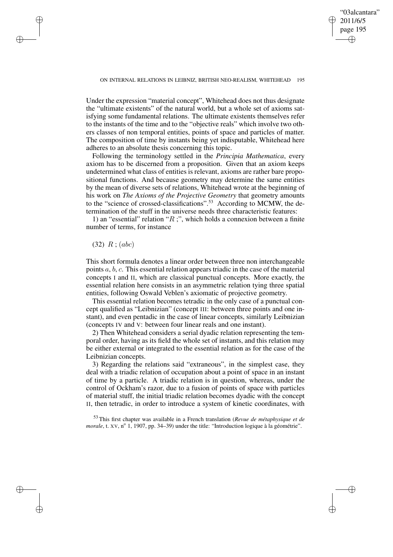✐

Under the expression "material concept", Whitehead does not thus designate the "ultimate existents" of the natural world, but a whole set of axioms satisfying some fundamental relations. The ultimate existents themselves refer to the instants of the time and to the "objective reals" which involve two others classes of non temporal entities, points of space and particles of matter. The composition of time by instants being yet indisputable, Whitehead here adheres to an absolute thesis concerning this topic.

Following the terminology settled in the *Principia Mathematica*, every axiom has to be discerned from a proposition. Given that an axiom keeps undetermined what class of entities is relevant, axioms are rather bare propositional functions. And because geometry may determine the same entities by the mean of diverse sets of relations, Whitehead wrote at the beginning of his work on *The Axioms of the Projective Geometry* that geometry amounts to the "science of crossed-classifications".<sup>53</sup> According to MCMW, the determination of the stuff in the universe needs three characteristic features:

1) an "essential" relation " $R$ ;", which holds a connexion between a finite number of terms, for instance

### $(32)$   $R$ ;  $(abc)$

✐

✐

✐

✐

This short formula denotes a linear order between three non interchangeable points  $a, b, c$ . This essential relation appears triadic in the case of the material concepts I and II, which are classical punctual concepts. More exactly, the essential relation here consists in an asymmetric relation tying three spatial entities, following Oswald Veblen's axiomatic of projective geometry.

This essential relation becomes tetradic in the only case of a punctual concept qualified as "Leibnizian" (concept III: between three points and one instant), and even pentadic in the case of linear concepts, similarly Leibnizian (concepts IV and V: between four linear reals and one instant).

2) Then Whitehead considers a serial dyadic relation representing the temporal order, having as its field the whole set of instants, and this relation may be either external or integrated to the essential relation as for the case of the Leibnizian concepts.

3) Regarding the relations said "extraneous", in the simplest case, they deal with a triadic relation of occupation about a point of space in an instant of time by a particle. A triadic relation is in question, whereas, under the control of Ockham's razor, due to a fusion of points of space with particles of material stuff, the initial triadic relation becomes dyadic with the concept II, then tetradic, in order to introduce a system of kinetic coordinates, with

<sup>53</sup> This first chapter was available in a French translation (*Revue de métaphysique et de morale*, t. XV, n<sup>o</sup> 1, 1907, pp. 34–39) under the title: "Introduction logique à la géométrie".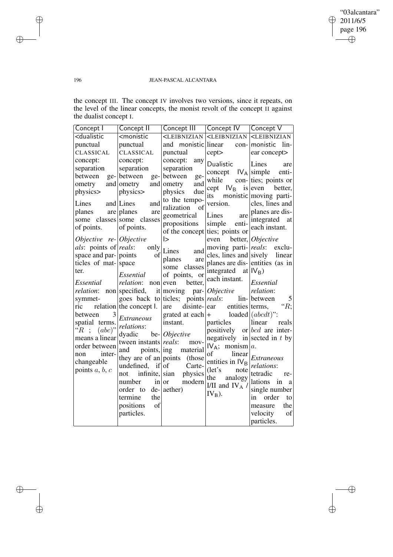$\bigoplus$ 

 $\oplus$ 

### 196 JEAN-PASCAL ALCANTARA

the concept III. The concept IV involves two versions, since it repeats, on the level of the linear concepts, the monist revolt of the concept II against the dualist concept I.

| Concept I                                                                                                                                                                                           | Concept II                                                                                                                                                  | Concept III                                                                                                           | Concept IV                                                                  | Concept V                         |
|-----------------------------------------------------------------------------------------------------------------------------------------------------------------------------------------------------|-------------------------------------------------------------------------------------------------------------------------------------------------------------|-----------------------------------------------------------------------------------------------------------------------|-----------------------------------------------------------------------------|-----------------------------------|
| <dualistic< td=""><td><monistic< td=""><td><leibnizian< td=""><td><leibnizian< td=""><td><leibnizian< td=""></leibnizian<></td></leibnizian<></td></leibnizian<></td></monistic<></td></dualistic<> | <monistic< td=""><td><leibnizian< td=""><td><leibnizian< td=""><td><leibnizian< td=""></leibnizian<></td></leibnizian<></td></leibnizian<></td></monistic<> | <leibnizian< td=""><td><leibnizian< td=""><td><leibnizian< td=""></leibnizian<></td></leibnizian<></td></leibnizian<> | <leibnizian< td=""><td><leibnizian< td=""></leibnizian<></td></leibnizian<> | <leibnizian< td=""></leibnizian<> |
| punctual                                                                                                                                                                                            | punctual                                                                                                                                                    | and<br>monistic linear                                                                                                |                                                                             | lin-<br>con- monistic             |
| CLASSICAL                                                                                                                                                                                           | CLASSICAL                                                                                                                                                   | punctual                                                                                                              | cept>                                                                       | ear concept>                      |
| concept:                                                                                                                                                                                            | concept:                                                                                                                                                    | concept:<br>any                                                                                                       | Dualistic                                                                   | Lines<br>are                      |
| separation                                                                                                                                                                                          | separation                                                                                                                                                  | separation                                                                                                            | concept                                                                     | $IV_A$ simple<br>enti-            |
| between<br>$ge-$                                                                                                                                                                                    | between<br>ge-                                                                                                                                              | between<br>ge-                                                                                                        | while                                                                       | con- ties; points or              |
| ometry                                                                                                                                                                                              | and ometry<br>and                                                                                                                                           | and<br>ometry                                                                                                         | $IV_{B}$<br>cept                                                            | is even<br>better,                |
| physics>                                                                                                                                                                                            | physics>                                                                                                                                                    | physics<br>due                                                                                                        | its                                                                         | monistic moving parti-            |
| Lines                                                                                                                                                                                               | and Lines<br>and                                                                                                                                            | to the tempo-                                                                                                         | version.                                                                    | cles, lines and                   |
| planes                                                                                                                                                                                              | are planes<br>are                                                                                                                                           | of<br>ralization                                                                                                      |                                                                             | planes are dis-                   |
|                                                                                                                                                                                                     | some classes some classes                                                                                                                                   | geometrical                                                                                                           | Lines<br>are                                                                | integrated<br>at                  |
| of points.                                                                                                                                                                                          | of points.                                                                                                                                                  | propositions                                                                                                          | enti-<br>simple<br>of the concept ties; points or                           | each instant.                     |
| Objective re-Objective                                                                                                                                                                              |                                                                                                                                                             | $\mathsf{I}$                                                                                                          | even                                                                        | better, Objective                 |
| <i>als:</i> points of <i>reals:</i>                                                                                                                                                                 | only                                                                                                                                                        | Lines                                                                                                                 |                                                                             | moving parti- reals: exclu-       |
| space and par- points                                                                                                                                                                               | of                                                                                                                                                          | and                                                                                                                   |                                                                             | cles, lines and sively linear     |
| ticles of mat- space                                                                                                                                                                                |                                                                                                                                                             | planes<br>are<br>some classes                                                                                         |                                                                             | planes are dis-entities (as in    |
| ter.                                                                                                                                                                                                | Essential                                                                                                                                                   | of points, or                                                                                                         | integrated                                                                  | at $IV_{B}$ )                     |
| Essential                                                                                                                                                                                           | <i>relation</i> : non even                                                                                                                                  | better,                                                                                                               | each instant.                                                               | Essential                         |
| relation:                                                                                                                                                                                           | non specified,                                                                                                                                              | it moving<br>par-                                                                                                     | <i>Objective</i>                                                            | relation:                         |
| symmet-                                                                                                                                                                                             |                                                                                                                                                             | goes back to ticles; points <i>reals</i> :                                                                            |                                                                             | lin- between<br>5                 |
| ric                                                                                                                                                                                                 | relation the concept I.                                                                                                                                     | disinte-<br>are                                                                                                       | entities terms,<br>ear                                                      | " $R;$                            |
| 3<br>between                                                                                                                                                                                        | <i>Extraneous</i>                                                                                                                                           | grated at each                                                                                                        | $+$                                                                         | loaded $(abcd)$ ":                |
| spatial terms.                                                                                                                                                                                      | relations:                                                                                                                                                  | instant.                                                                                                              | particles                                                                   | linear<br>reals                   |
| $(abc)$ "<br>$"R$ ;                                                                                                                                                                                 | dyadic                                                                                                                                                      | be- <i>Objective</i>                                                                                                  | positively                                                                  | or $bcd$ are inter-               |
| means a linear                                                                                                                                                                                      | tween instants reals:                                                                                                                                       | mov-                                                                                                                  | negatively                                                                  | in sected in $t$ by               |
| order between                                                                                                                                                                                       | and<br>points, ing                                                                                                                                          | material                                                                                                              | $IV_A;$<br>monism $a$ .                                                     |                                   |
| inter-<br>non                                                                                                                                                                                       | they are of an points                                                                                                                                       | (those)                                                                                                               | linear<br>of                                                                | <b>Extraneous</b>                 |
| changeable                                                                                                                                                                                          | undefined,                                                                                                                                                  | if of<br>Carte-                                                                                                       | entities in $IV_{B}$                                                        | relations:                        |
| points $a, b, c$                                                                                                                                                                                    | infinite,<br>not                                                                                                                                            | physics<br>sian                                                                                                       | $(\text{let's})$<br>note                                                    | tetradic<br>re-                   |
|                                                                                                                                                                                                     | number<br>in                                                                                                                                                | modern<br><b>or</b>                                                                                                   | the<br>analogy                                                              | lations<br>in<br>a                |
|                                                                                                                                                                                                     | $de-$<br>order to                                                                                                                                           | aether)                                                                                                               | I/II and IV $_A$ /                                                          | single number                     |
|                                                                                                                                                                                                     | the<br>termine                                                                                                                                              |                                                                                                                       | $IV_B$ ).                                                                   | order<br>in<br>to                 |
|                                                                                                                                                                                                     | positions<br>of                                                                                                                                             |                                                                                                                       |                                                                             | the<br>measure                    |
|                                                                                                                                                                                                     | particles.                                                                                                                                                  |                                                                                                                       |                                                                             | velocity<br>of                    |
|                                                                                                                                                                                                     |                                                                                                                                                             |                                                                                                                       |                                                                             | particles.                        |

 $\bigoplus$ 

 $\oplus$ 

 $\bigoplus$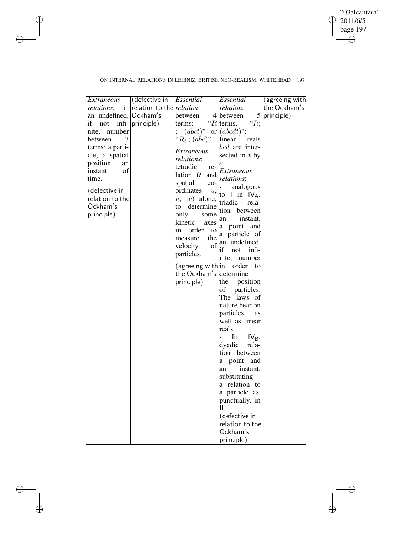"03alcantara" 2011/6/5 page 197  $\bigoplus$ ✐

 $\bigoplus$ 

 $\bigoplus$ 

## ON INTERNAL RELATIONS IN LEIBNIZ, BRITISH NEO-REALISM, WHITEHEAD 197

 $\bigoplus$ 

 $\oplus$ 

 $\bigoplus$ 

 $\bigoplus$ 

| (defective in<br>(agreeing with<br>in relation to the <i>relation</i> :<br>the Ockham's<br><i>relations</i> :<br><i>relation</i> :<br>$\vert 5 \vert$ |  |
|-------------------------------------------------------------------------------------------------------------------------------------------------------|--|
|                                                                                                                                                       |  |
| an undefined,<br>Ockham's<br>4 between<br>principle)<br>between                                                                                       |  |
| " $R;$<br>" $R$ terms,<br>if not infi- principle)<br>terms:                                                                                           |  |
| $(abct)"$ or $(abcdt)$ .<br>nite, number                                                                                                              |  |
| " $R_t$ ; (abc)".<br>between<br>3<br>linear<br>reals                                                                                                  |  |
| bcd are inter-<br>terms: a parti-                                                                                                                     |  |
| Extraneous<br>cle, a spatial<br>sected in t by                                                                                                        |  |
| <i>relations:</i><br>position,<br>an<br>a.<br>tetradic                                                                                                |  |
| re-<br>instant<br>οf<br>Extraneous<br>lation $(t$ and                                                                                                 |  |
| time.<br><i>relations:</i><br>spatial                                                                                                                 |  |
| $co-$<br>analogous<br>(defective in<br>ordinates                                                                                                      |  |
| u,<br>to I in $IV_A$ ,<br>relation to the<br>$w)$ alone,<br>v,                                                                                        |  |
| triadic<br>rela-<br>Ockham's<br>determine<br>to                                                                                                       |  |
| tion<br>between<br>principle)<br>only<br>some                                                                                                         |  |
| instant,<br>an<br>kinetic<br>axes                                                                                                                     |  |
| a point and<br>order<br>1n<br>to                                                                                                                      |  |
| a particle of<br>the<br>measure                                                                                                                       |  |
| an undefined,<br>of<br>velocity                                                                                                                       |  |
| if<br>not<br>infi-<br>particles.                                                                                                                      |  |
| number<br>nite,                                                                                                                                       |  |
| (agreeing with in order<br>to                                                                                                                         |  |
| the Ockham's determine                                                                                                                                |  |
| principle)<br>the<br>position                                                                                                                         |  |
| particles.<br>of                                                                                                                                      |  |
| The<br>laws of                                                                                                                                        |  |
| nature bear on                                                                                                                                        |  |
| particles<br>as                                                                                                                                       |  |
| well as linear                                                                                                                                        |  |
| reals.                                                                                                                                                |  |
| In<br>$IV_{B}$                                                                                                                                        |  |
| dyadic<br>rela-                                                                                                                                       |  |
| tion between                                                                                                                                          |  |
| point and<br>a                                                                                                                                        |  |
| instant,<br>an                                                                                                                                        |  |
| substituting                                                                                                                                          |  |
| a relation to<br>a particle as,                                                                                                                       |  |
| punctually, in                                                                                                                                        |  |
| II.                                                                                                                                                   |  |
| (defective in                                                                                                                                         |  |
| relation to the                                                                                                                                       |  |
| Ockham's                                                                                                                                              |  |
| principle)                                                                                                                                            |  |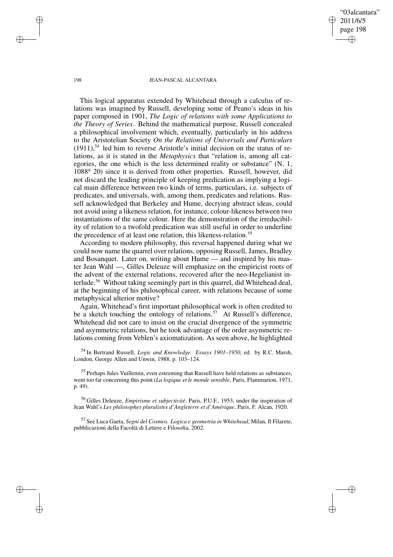"03alcantara" 2011/6/5 page 198 ✐ ✐

✐

✐

#### 198 JEAN-PASCAL ALCANTARA

This logical apparatus extended by Whitehead through a calculus of relations was imagined by Russell, developing some of Peano's ideas in his paper composed in 1901, *The Logic of relations with some Applications to the Theory of Series*. Behind the mathematical purpose, Russell concealed a philosophical involvement which, eventually, particularly in his address to the Aristotelian Society *On the Relations of Universals and Particulars*  $(1911)$ ,<sup>54</sup> led him to reverse Aristotle's initial decision on the status of relations, as it is stated in the *Metaphysics* that "relation is, among all categories, the one which is the less determined reality or substance" (N, 1, 1088<sup>a</sup> 20) since it is derived from other properties. Russell, however, did not discard the leading principle of keeping predication as implying a logical main difference between two kinds of terms, particulars, i.e. subjects of predicates, and universals, with, among them, predicates and relations. Russell acknowledged that Berkeley and Hume, decrying abstract ideas, could not avoid using a likeness relation, for instance, colour-likeness between two instantiations of the same colour. Here the demonstration of the irreducibility of relation to a twofold predication was still useful in order to underline the precedence of at least one relation, this likeness-relation.<sup>55</sup>

According to modern philosophy, this reversal happened during what we could now name the quarrel over relations, opposing Russell, James, Bradley and Bosanquet. Later on, writing about Hume — and inspired by his master Jean Wahl —, Gilles Deleuze will emphasize on the empiricist roots of the advent of the external relations, recovered after the neo-Hegelianist interlude.<sup>56</sup> Without taking seemingly part in this quarrel, did Whitehead deal, at the beginning of his philosophical career, with relations because of some metaphysical ulterior motive?

Again, Whitehead's first important philosophical work is often credited to be a sketch touching the ontology of relations.<sup>57</sup> At Russell's difference, Whitehead did not care to insist on the crucial divergence of the symmetric and asymmetric relations, but he took advantage of the order asymmetric relations coming from Veblen's axiomatization. As seen above, he highlighted

<sup>54</sup> In Bertrand Russell, *Logic and Knowledge. Essays 1901–1950*, ed. by R.C. Marsh, London, George Allen and Unwin, 1988, p. 103–124.

<sup>55</sup> Perhaps Jules Vuillemin, even esteeming that Russell have held relations as substances, went too far concerning this point (*La logique et le monde sensible*, Paris, Flammarion, 1971, p. 49).

<sup>56</sup> Gilles Deleuze, *Empirisme et subjectivité*, Paris, P.U.F., 1953, under the inspiration of Jean Wahl's *Les philosophes pluralistes d'Angleterre et d'Amérique*, Paris, F. Alcan, 1920.

<sup>57</sup> See Luca Gaeta, *Segni del Cosmos. Logica e geometria in Whitehead*, Milan, Il Filarete, pubblicazioni della Facoltà di Lettere e Filosofia, 2002.

✐

✐

✐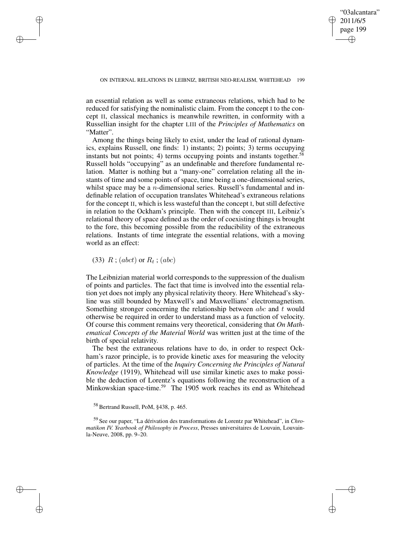✐

an essential relation as well as some extraneous relations, which had to be reduced for satisfying the nominalistic claim. From the concept I to the concept II, classical mechanics is meanwhile rewritten, in conformity with a Russellian insight for the chapter LIII of the *Principles of Mathematics* on "Matter".

Among the things being likely to exist, under the lead of rational dynamics, explains Russell, one finds: 1) instants; 2) points; 3) terms occupying instants but not points; 4) terms occupying points and instants together. 58 Russell holds "occupying" as an undefinable and therefore fundamental relation. Matter is nothing but a "many-one" correlation relating all the instants of time and some points of space, time being a one-dimensional series, whilst space may be a *n*-dimensional series. Russell's fundamental and indefinable relation of occupation translates Whitehead's extraneous relations for the concept II, which is less wasteful than the concept I, but still defective in relation to the Ockham's principle. Then with the concept III, Leibniz's relational theory of space defined as the order of coexisting things is brought to the fore, this becoming possible from the reducibility of the extraneous relations. Instants of time integrate the essential relations, with a moving world as an effect:

(33)  $R$ ; (abct) or  $R_t$ ; (abc)

✐

✐

✐

✐

The Leibnizian material world corresponds to the suppression of the dualism of points and particles. The fact that time is involved into the essential relation yet does not imply any physical relativity theory. Here Whitehead's skyline was still bounded by Maxwell's and Maxwellians' electromagnetism. Something stronger concerning the relationship between *abc* and t would otherwise be required in order to understand mass as a function of velocity. Of course this comment remains very theoretical, considering that *On Mathematical Concepts of the Material World* was written just at the time of the birth of special relativity.

The best the extraneous relations have to do, in order to respect Ockham's razor principle, is to provide kinetic axes for measuring the velocity of particles. At the time of the *Inquiry Concerning the Principles of Natural Knowledge* (1919), Whitehead will use similar kinetic axes to make possible the deduction of Lorentz's equations following the reconstruction of a Minkowskian space-time.<sup>59</sup> The 1905 work reaches its end as Whitehead

<sup>58</sup> Bertrand Russell, PoM, §438, p. 465.

<sup>59</sup> See our paper, "La dérivation des transformations de Lorentz par Whitehead", in *Chromatikon IV. Yearbook of Philosophy in Process*, Presses universitaires de Louvain, Louvainla-Neuve, 2008, pp. 9–20.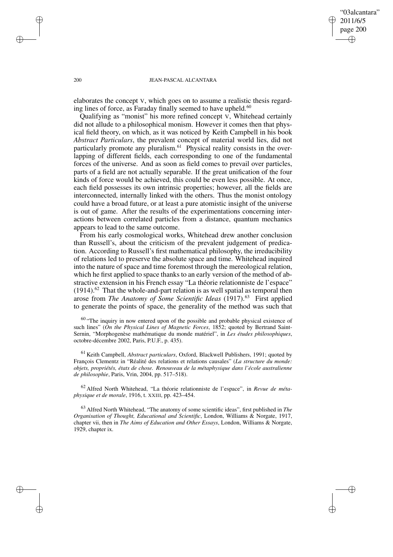"03alcantara" 2011/6/5 page 200 ✐ ✐

✐

✐

#### 200 JEAN-PASCAL ALCANTARA

elaborates the concept V, which goes on to assume a realistic thesis regarding lines of force, as Faraday finally seemed to have upheld.<sup>60</sup>

Qualifying as "monist" his more refined concept V, Whitehead certainly did not allude to a philosophical monism. However it comes then that physical field theory, on which, as it was noticed by Keith Campbell in his book *Abstract Particulars*, the prevalent concept of material world lies, did not particularly promote any pluralism.<sup>61</sup> Physical reality consists in the overlapping of different fields, each corresponding to one of the fundamental forces of the universe. And as soon as field comes to prevail over particles, parts of a field are not actually separable. If the great unification of the four kinds of force would be achieved, this could be even less possible. At once, each field possesses its own intrinsic properties; however, all the fields are interconnected, internally linked with the others. Thus the monist ontology could have a broad future, or at least a pure atomistic insight of the universe is out of game. After the results of the experimentations concerning interactions between correlated particles from a distance, quantum mechanics appears to lead to the same outcome.

From his early cosmological works, Whitehead drew another conclusion than Russell's, about the criticism of the prevalent judgement of predication. According to Russell's first mathematical philosophy, the irreducibility of relations led to preserve the absolute space and time. Whitehead inquired into the nature of space and time foremost through the mereological relation, which he first applied to space thanks to an early version of the method of abstractive extension in his French essay "La théorie relationniste de l'espace"  $(1914)$ .<sup>62</sup> That the whole-and-part relation is as well spatial as temporal then arose from *The Anatomy of Some Scientific Ideas* (1917).<sup>63</sup> First applied to generate the points of space, the generality of the method was such that

<sup>60</sup> "The inquiry in now entered upon of the possible and probable physical existence of such lines" (*On the Physical Lines of Magnetic Forces*, 1852; quoted by Bertrand Saint-Sernin, "Morphogenèse mathématique du monde matériel", in *Les études philosophiques*, octobre-décembre 2002, Paris, P.U.F., p. 435).

<sup>61</sup> Keith Campbell, *Abstract particulars*, Oxford, Blackwell Publishers, 1991; quoted by François Clementz in "Réalité des relations et relations causales" (*La structure du monde: objets, propriétés, états de chose. Renouveau de la métaphysique dans l'école australienne de philosophie*, Paris, Vrin, 2004, pp. 517–518).

<sup>62</sup> Alfred North Whitehead, "La théorie relationniste de l'espace", in *Revue de métaphysique et de morale*, 1916, t. XXIII, pp. 423–454.

<sup>63</sup> Alfred North Whitehead, "The anatomy of some scientific ideas", first published in *The Organisation of Thought, Educational and Scientific*, London, Williams & Norgate, 1917, chapter vii, then in *The Aims of Education and Other Essays*, London, Williams & Norgate, 1929, chapter ix.

✐

✐

✐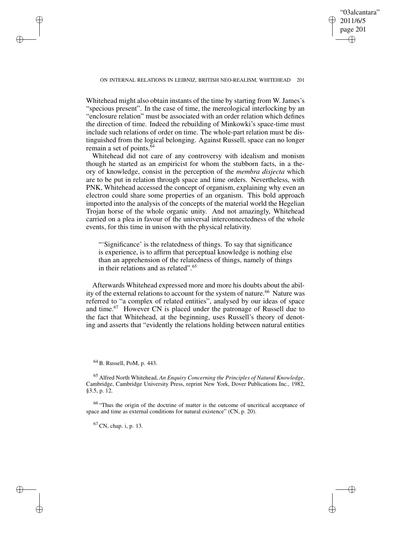"03alcantara" 2011/6/5 page 201 ✐ ✐

✐

✐

Whitehead might also obtain instants of the time by starting from W. James's "specious present". In the case of time, the mereological interlocking by an "enclosure relation" must be associated with an order relation which defines the direction of time. Indeed the rebuilding of Minkowki's space-time must include such relations of order on time. The whole-part relation must be distinguished from the logical belonging. Against Russell, space can no longer remain a set of points. $64$ 

Whitehead did not care of any controversy with idealism and monism though he started as an empiricist for whom the stubborn facts, in a theory of knowledge, consist in the perception of the *membra disjecta* which are to be put in relation through space and time orders. Nevertheless, with PNK, Whitehead accessed the concept of organism, explaining why even an electron could share some properties of an organism. This bold approach imported into the analysis of the concepts of the material world the Hegelian Trojan horse of the whole organic unity. And not amazingly, Whitehead carried on a plea in favour of the universal interconnectedness of the whole events, for this time in unison with the physical relativity.

"'Significance' is the relatedness of things. To say that significance is experience, is to affirm that perceptual knowledge is nothing else than an apprehension of the relatedness of things, namely of things in their relations and as related".<sup>65</sup>

Afterwards Whitehead expressed more and more his doubts about the ability of the external relations to account for the system of nature.<sup>66</sup> Nature was referred to "a complex of related entities", analysed by our ideas of space and time.<sup>67</sup> However CN is placed under the patronage of Russell due to the fact that Whitehead, at the beginning, uses Russell's theory of denoting and asserts that "evidently the relations holding between natural entities

<sup>64</sup> B. Russell, PoM, p. 443.

✐

✐

✐

✐

<sup>65</sup> Alfred North Whitehead, *An Enquiry Concerning the Principles of Natural Knowledge*, Cambridge, Cambridge University Press, reprint New York, Dover Publications Inc., 1982, §3.5, p. 12.

<sup>66</sup> "Thus the origin of the doctrine of matter is the outcome of uncritical acceptance of space and time as external conditions for natural existence" (CN, p. 20).

 $^{67}$  CN, chap. i, p. 13.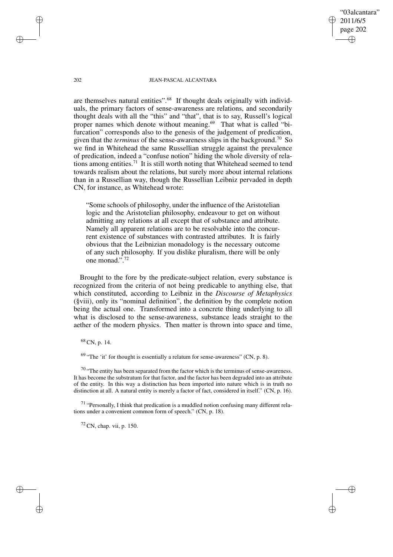202 JEAN-PASCAL ALCANTARA

"03alcantara" 2011/6/5 page 202

✐

✐

✐

✐

are themselves natural entities".<sup>68</sup> If thought deals originally with individuals, the primary factors of sense-awareness are relations, and secondarily thought deals with all the "this" and "that", that is to say, Russell's logical proper names which denote without meaning.<sup>69</sup> That what is called "bifurcation" corresponds also to the genesis of the judgement of predication, given that the *terminus* of the sense-awareness slips in the background.<sup>70</sup> So we find in Whitehead the same Russellian struggle against the prevalence of predication, indeed a "confuse notion" hiding the whole diversity of relations among entities.<sup>71</sup> It is still worth noting that Whitehead seemed to tend towards realism about the relations, but surely more about internal relations than in a Russellian way, though the Russellian Leibniz pervaded in depth CN, for instance, as Whitehead wrote:

"Some schools of philosophy, under the influence of the Aristotelian logic and the Aristotelian philosophy, endeavour to get on without admitting any relations at all except that of substance and attribute. Namely all apparent relations are to be resolvable into the concurrent existence of substances with contrasted attributes. It is fairly obvious that the Leibnizian monadology is the necessary outcome of any such philosophy. If you dislike pluralism, there will be only one monad.".<sup>72</sup>

Brought to the fore by the predicate-subject relation, every substance is recognized from the criteria of not being predicable to anything else, that which constituted, according to Leibniz in the *Discourse of Metaphysics* (§viii), only its "nominal definition", the definition by the complete notion being the actual one. Transformed into a concrete thing underlying to all what is disclosed to the sense-awareness, substance leads straight to the aether of the modern physics. Then matter is thrown into space and time,

## <sup>68</sup> CN, p. 14.

 $69$  "The 'it' for thought is essentially a relatum for sense-awareness" (CN, p. 8).

 $70$  "The entity has been separated from the factor which is the terminus of sense-awareness. It has become the substratum for that factor, and the factor has been degraded into an attribute of the entity. In this way a distinction has been imported into nature which is in truth no distinction at all. A natural entity is merely a factor of fact, considered in itself." (CN, p. 16).

<sup>71</sup> "Personally, I think that predication is a muddled notion confusing many different relations under a convenient common form of speech." (CN, p. 18).

 $72$  CN, chap. vii, p. 150.

✐

✐

✐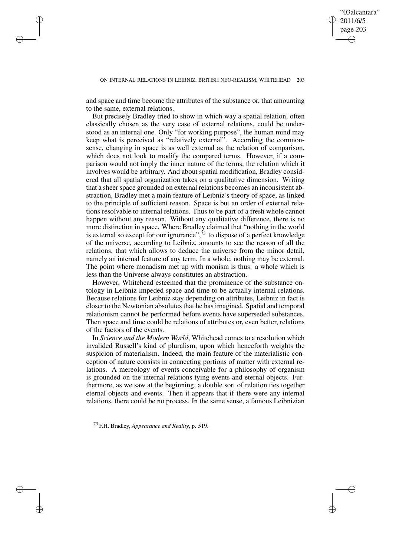✐

and space and time become the attributes of the substance or, that amounting to the same, external relations.

✐

✐

✐

✐

But precisely Bradley tried to show in which way a spatial relation, often classically chosen as the very case of external relations, could be understood as an internal one. Only "for working purpose", the human mind may keep what is perceived as "relatively external". According the commonsense, changing in space is as well external as the relation of comparison, which does not look to modify the compared terms. However, if a comparison would not imply the inner nature of the terms, the relation which it involves would be arbitrary. And about spatial modification, Bradley considered that all spatial organization takes on a qualitative dimension. Writing that a sheer space grounded on external relations becomes an inconsistent abstraction, Bradley met a main feature of Leibniz's theory of space, as linked to the principle of sufficient reason. Space is but an order of external relations resolvable to internal relations. Thus to be part of a fresh whole cannot happen without any reason. Without any qualitative difference, there is no more distinction in space. Where Bradley claimed that "nothing in the world is external so except for our ignorance", $73$  to dispose of a perfect knowledge of the universe, according to Leibniz, amounts to see the reason of all the relations, that which allows to deduce the universe from the minor detail, namely an internal feature of any term. In a whole, nothing may be external. The point where monadism met up with monism is thus: a whole which is less than the Universe always constitutes an abstraction.

However, Whitehead esteemed that the prominence of the substance ontology in Leibniz impeded space and time to be actually internal relations. Because relations for Leibniz stay depending on attributes, Leibniz in fact is closer to the Newtonian absolutes that he has imagined. Spatial and temporal relationism cannot be performed before events have superseded substances. Then space and time could be relations of attributes or, even better, relations of the factors of the events.

In *Science and the Modern World*, Whitehead comes to a resolution which invalided Russell's kind of pluralism, upon which henceforth weights the suspicion of materialism. Indeed, the main feature of the materialistic conception of nature consists in connecting portions of matter with external relations. A mereology of events conceivable for a philosophy of organism is grounded on the internal relations tying events and eternal objects. Furthermore, as we saw at the beginning, a double sort of relation ties together eternal objects and events. Then it appears that if there were any internal relations, there could be no process. In the same sense, a famous Leibnizian

<sup>73</sup> F.H. Bradley, *Appearance and Reality*, p. 519.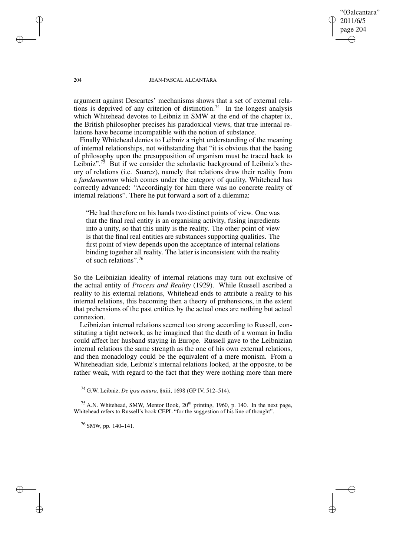"03alcantara" 2011/6/5 page 204 ✐ ✐

✐

✐

### 204 JEAN-PASCAL ALCANTARA

argument against Descartes' mechanisms shows that a set of external relations is deprived of any criterion of distinction.<sup>74</sup> In the longest analysis which Whitehead devotes to Leibniz in SMW at the end of the chapter ix, the British philosopher precises his paradoxical views, that true internal relations have become incompatible with the notion of substance.

Finally Whitehead denies to Leibniz a right understanding of the meaning of internal relationships, not withstanding that "it is obvious that the basing of philosophy upon the presupposition of organism must be traced back to Leibniz".<sup>75</sup> But if we consider the scholastic background of Leibniz's theory of relations (i.e. Suarez), namely that relations draw their reality from a *fundamentum* which comes under the category of quality, Whitehead has correctly advanced: "Accordingly for him there was no concrete reality of internal relations". There he put forward a sort of a dilemma:

"He had therefore on his hands two distinct points of view. One was that the final real entity is an organising activity, fusing ingredients into a unity, so that this unity is the reality. The other point of view is that the final real entities are substances supporting qualities. The first point of view depends upon the acceptance of internal relations binding together all reality. The latter is inconsistent with the reality of such relations".<sup>76</sup>

So the Leibnizian ideality of internal relations may turn out exclusive of the actual entity of *Process and Reality* (1929). While Russell ascribed a reality to his external relations, Whitehead ends to attribute a reality to his internal relations, this becoming then a theory of prehensions, in the extent that prehensions of the past entities by the actual ones are nothing but actual connexion.

Leibnizian internal relations seemed too strong according to Russell, constituting a tight network, as he imagined that the death of a woman in India could affect her husband staying in Europe. Russell gave to the Leibnizian internal relations the same strength as the one of his own external relations, and then monadology could be the equivalent of a mere monism. From a Whiteheadian side, Leibniz's internal relations looked, at the opposite, to be rather weak, with regard to the fact that they were nothing more than mere

<sup>74</sup> G.W. Leibniz, *De ipsa natura*, §xiii, 1698 (GP IV, 512–514).

<sup>75</sup> A.N. Whitehead, SMW, Mentor Book,  $20<sup>th</sup>$  printing, 1960, p. 140. In the next page, Whitehead refers to Russell's book CEPL "for the suggestion of his line of thought".

<sup>76</sup> SMW, pp. 140–141.

✐

✐

✐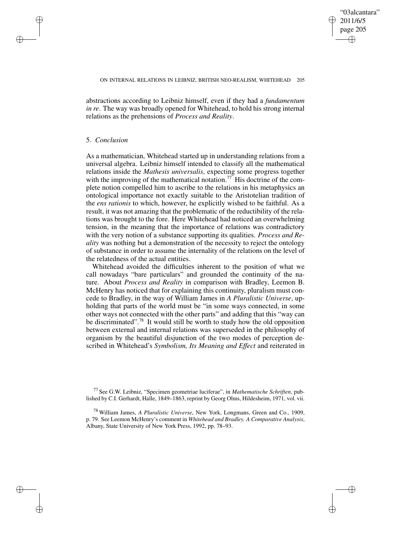✐

abstractions according to Leibniz himself, even if they had a *fundamentum in re*. The way was broadly opened for Whitehead, to hold his strong internal relations as the prehensions of *Process and Reality*.

### 5. *Conclusion*

✐

✐

✐

✐

As a mathematician, Whitehead started up in understanding relations from a universal algebra. Leibniz himself intended to classify all the mathematical relations inside the *Mathesis universalis*, expecting some progress together with the improving of the mathematical notation.<sup>77</sup> His doctrine of the complete notion compelled him to ascribe to the relations in his metaphysics an ontological importance not exactly suitable to the Aristotelian tradition of the *ens rationis* to which, however, he explicitly wished to be faithful. As a result, it was not amazing that the problematic of the reductibility of the relations was brought to the fore. Here Whitehead had noticed an overwhelming tension, in the meaning that the importance of relations was contradictory with the very notion of a substance supporting its qualities. *Process and Reality* was nothing but a demonstration of the necessity to reject the ontology of substance in order to assume the internality of the relations on the level of the relatedness of the actual entities.

Whitehead avoided the difficulties inherent to the position of what we call nowadays "bare particulars" and grounded the continuity of the nature. About *Process and Reality* in comparison with Bradley, Leemon B. McHenry has noticed that for explaining this continuity, pluralism must concede to Bradley, in the way of William James in *A Pluralistic Universe*, upholding that parts of the world must be "in some ways connected, in some other ways not connected with the other parts" and adding that this "way can be discriminated".<sup>78</sup> It would still be worth to study how the old opposition between external and internal relations was superseded in the philosophy of organism by the beautiful disjunction of the two modes of perception described in Whitehead's *Symbolism, Its Meaning and Effect* and reiterated in

<sup>77</sup> See G.W. Leibniz, "Specimen geometriae luciferae", in *Mathematische Schriften*, published by C.I. Gerhardt, Halle, 1849–1863, reprint by Georg Olms, Hildesheim, 1971, vol. vii.

<sup>78</sup> William James, *A Pluralistic Universe*, New York, Longmans, Green and Co., 1909, p. 79. See Leemon McHenry's comment in *Whitehead and Bradley. A Comparative Analysis*, Albany, State University of New York Press, 1992, pp. 78–93.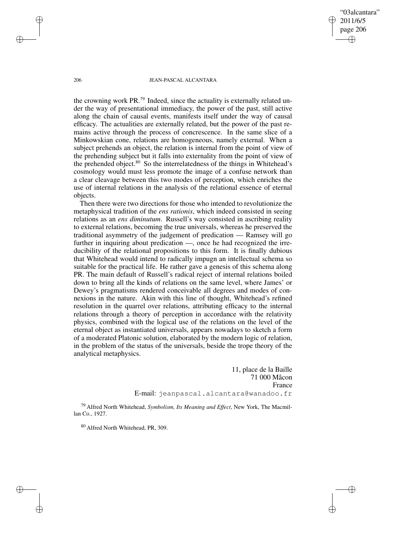"03alcantara" 2011/6/5 page 206 ✐ ✐

✐

✐

### 206 JEAN-PASCAL ALCANTARA

the crowning work  $PR<sup>79</sup>$  Indeed, since the actuality is externally related under the way of presentational immediacy, the power of the past, still active along the chain of causal events, manifests itself under the way of causal efficacy. The actualities are externally related, but the power of the past remains active through the process of concrescence. In the same slice of a Minkowskian cone, relations are homogeneous, namely external. When a subject prehends an object, the relation is internal from the point of view of the prehending subject but it falls into externality from the point of view of the prehended object.<sup>80</sup> So the interrelatedness of the things in Whitehead's cosmology would must less promote the image of a confuse network than a clear cleavage between this two modes of perception, which enriches the use of internal relations in the analysis of the relational essence of eternal objects.

Then there were two directions for those who intended to revolutionize the metaphysical tradition of the *ens rationis*, which indeed consisted in seeing relations as an *ens diminutum*. Russell's way consisted in ascribing reality to external relations, becoming the true universals, whereas he preserved the traditional asymmetry of the judgement of predication — Ramsey will go further in inquiring about predication —, once he had recognized the irreducibility of the relational propositions to this form. It is finally dubious that Whitehead would intend to radically impugn an intellectual schema so suitable for the practical life. He rather gave a genesis of this schema along PR. The main default of Russell's radical reject of internal relations boiled down to bring all the kinds of relations on the same level, where James' or Dewey's pragmatisms rendered conceivable all degrees and modes of connexions in the nature. Akin with this line of thought, Whitehead's refined resolution in the quarrel over relations, attributing efficacy to the internal relations through a theory of perception in accordance with the relativity physics, combined with the logical use of the relations on the level of the eternal object as instantiated universals, appears nowadays to sketch a form of a moderated Platonic solution, elaborated by the modern logic of relation, in the problem of the status of the universals, beside the trope theory of the analytical metaphysics.

> 11, place de la Baille 71 000 Mâcon France E-mail: jeanpascal.alcantara@wanadoo.fr

<sup>79</sup> Alfred North Whitehead, *Symbolism, Its Meaning and Effect*, New York, The Macmillan Co., 1927.

<sup>80</sup> Alfred North Whitehead, PR, 309.

✐

✐

✐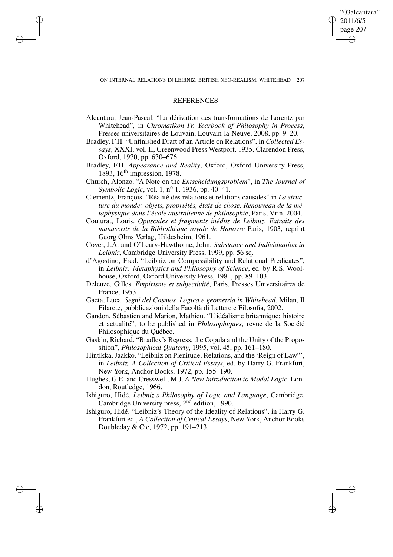ON INTERNAL RELATIONS IN LEIBNIZ, BRITISH NEO-REALISM, WHITEHEAD 207

"03alcantara" 2011/6/5 page 207

✐

✐

✐

✐

### **REFERENCES**

✐

✐

✐

- Alcantara, Jean-Pascal. "La dérivation des transformations de Lorentz par Whitehead", in *Chromatikon IV. Yearbook of Philosophy in Process*, Presses universitaires de Louvain, Louvain-la-Neuve, 2008, pp. 9–20.
- Bradley, F.H. "Unfinished Draft of an Article on Relations", in *Collected Essays*, XXXI, vol. II, Greenwood Press Westport, 1935, Clarendon Press, Oxford, 1970, pp. 630–676.
- Bradley, F.H. *Appearance and Reality*, Oxford, Oxford University Press, 1893, 16th impression, 1978.
- Church, Alonzo. "A Note on the *Entscheidungsproblem*", in *The Journal of Symbolic Logic*, vol. 1, n <sup>o</sup> 1, 1936, pp. 40–41.
- Clementz, François. "Réalité des relations et relations causales" in *La structure du monde: objets, propriétés, états de chose. Renouveau de la métaphysique dans l'école australienne de philosophie*, Paris, Vrin, 2004.
- Couturat, Louis. *Opuscules et fragments inédits de Leibniz. Extraits des manuscrits de la Bibliothèque royale de Hanovre* Paris, 1903, reprint Georg Olms Verlag, Hildesheim, 1961.
- Cover, J.A. and O'Leary-Hawthorne, John. *Substance and Individuation in Leibniz*, Cambridge University Press, 1999, pp. 56 sq.
- d'Agostino, Fred. "Leibniz on Compossibility and Relational Predicates", in *Leibniz: Metaphysics and Philosophy of Science*, ed. by R.S. Woolhouse, Oxford, Oxford University Press, 1981, pp. 89–103.
- Deleuze, Gilles. *Empirisme et subjectivité*, Paris, Presses Universitaires de France, 1953.
- Gaeta, Luca. *Segni del Cosmos. Logica e geometria in Whitehead*, Milan, Il Filarete, pubblicazioni della Facoltà di Lettere e Filosofia, 2002.
- Gandon, Sébastien and Marion, Mathieu. "L'idéalisme britannique: histoire et actualité", to be published in *Philosophiques*, revue de la Société Philosophique du Québec.
- Gaskin, Richard. "Bradley's Regress, the Copula and the Unity of the Proposition", *Philosophical Quaterly*, 1995, vol. 45, pp. 161–180.
- Hintikka, Jaakko. "Leibniz on Plenitude, Relations, and the 'Reign of Law"', in *Leibniz. A Collection of Critical Essays*, ed. by Harry G. Frankfurt, New York, Anchor Books, 1972, pp. 155–190.
- Hughes, G.E. and Cresswell, M.J. *A New Introduction to Modal Logic*, London, Routledge, 1966.
- Ishiguro, Hidé. *Leibniz's Philosophy of Logic and Language*, Cambridge, Cambridge University press, 2<sup>nd</sup> edition, 1990.
- Ishiguro, Hidé. "Leibniz's Theory of the Ideality of Relations", in Harry G. Frankfurt ed., *A Collection of Critical Essays*, New York, Anchor Books Doubleday & Cie, 1972, pp. 191–213.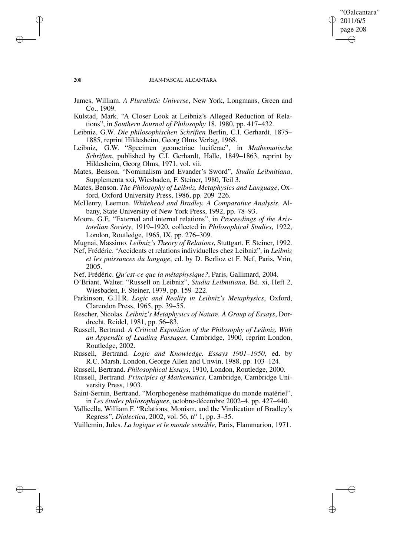### "03alcantara" 2011/6/5 page 208 ✐ ✐

✐

✐

### 208 JEAN-PASCAL ALCANTARA

- James, William. *A Pluralistic Universe*, New York, Longmans, Green and Co., 1909.
- Kulstad, Mark. "A Closer Look at Leibniz's Alleged Reduction of Relations", in *Southern Journal of Philosophy* 18, 1980, pp. 417–432.
- Leibniz, G.W. *Die philosophischen Schriften* Berlin, C.I. Gerhardt, 1875– 1885, reprint Hildesheim, Georg Olms Verlag, 1968.
- Leibniz, G.W. "Specimen geometriae luciferae", in *Mathematische Schriften*, published by C.I. Gerhardt, Halle, 1849–1863, reprint by Hildesheim, Georg Olms, 1971, vol. vii.
- Mates, Benson. "Nominalism and Evander's Sword", *Studia Leibnitiana*, Supplementa xxi, Wiesbaden, F. Steiner, 1980, Teil 3.
- Mates, Benson. *The Philosophy of Leibniz. Metaphysics and Language*, Oxford, Oxford University Press, 1986, pp. 209–226.
- McHenry, Leemon. *Whitehead and Bradley. A Comparative Analysis*, Albany, State University of New York Press, 1992, pp. 78–93.
- Moore, G.E. "External and internal relations", in *Proceedings of the Aristotelian Society*, 1919–1920, collected in *Philosophical Studies*, 1922, London, Routledge, 1965, IX, pp. 276–309.
- Mugnai, Massimo. *Leibniz's Theory of Relations*, Stuttgart, F. Steiner, 1992.
- Nef, Frédéric. "Accidents et relations individuelles chez Leibniz", in *Leibniz et les puissances du langage*, ed. by D. Berlioz et F. Nef, Paris, Vrin, 2005.
- Nef, Frédéric. *Qu'est-ce que la métaphysique?*, Paris, Gallimard, 2004.
- O'Briant, Walter. "Russell on Leibniz", *Studia Leibnitiana*, Bd. xi, Heft 2, Wiesbaden, F. Steiner, 1979, pp. 159–222.
- Parkinson, G.H.R. *Logic and Reality in Leibniz's Metaphysics*, Oxford, Clarendon Press, 1965, pp. 39–55.
- Rescher, Nicolas. *Leibniz's Metaphysics of Nature. A Group of Essays*, Dordrecht, Reidel, 1981, pp. 56–83.
- Russell, Bertrand. *A Critical Exposition of the Philosophy of Leibniz. With an Appendix of Leading Passages*, Cambridge, 1900, reprint London, Routledge, 2002.
- Russell, Bertrand. *Logic and Knowledge. Essays 1901–1950*, ed. by R.C. Marsh, London, George Allen and Unwin, 1988, pp. 103–124.
- Russell, Bertrand. *Philosophical Essays*, 1910, London, Routledge, 2000.
- Russell, Bertrand. *Principles of Mathematics*, Cambridge, Cambridge University Press, 1903.

Saint-Sernin, Bertrand. "Morphogenèse mathématique du monde matériel", in *Les études philosophiques*, octobre-décembre 2002–4, pp. 427–440.

Vallicella, William F. "Relations, Monism, and the Vindication of Bradley's Regress", *Dialectica*, 2002, vol. 56, nº 1, pp. 3-35.

Vuillemin, Jules. *La logique et le monde sensible*, Paris, Flammarion, 1971.

✐

✐

✐